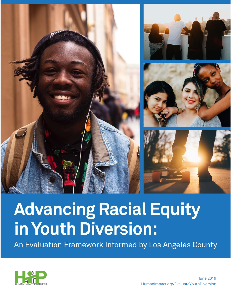

# **Advancing Racial Equity** in Youth Diversion:

An Evaluation Framework Informed by Los Angeles County

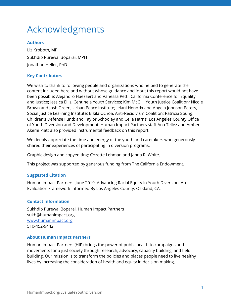## <span id="page-1-0"></span>Acknowledgments

#### **Authors**

Liz Kroboth, MPH Sukhdip Purewal Boparai, MPH Jonathan Heller, PhD

#### **Key Contributors**

We wish to thank to following people and organizations who helped to generate the content included here and without whose guidance and input this report would not have been possible: Alejandro Haezaert and Vanessa Petti, California Conference for Equality and Justice; Jessica Ellis, Centinela Youth Services; Kim McGill, Youth Justice Coalition; Nicole Brown and Josh Green, Urban Peace Institute; Jelani Hendrix and Angela Johnson Peters, Social Justice Learning Institute; Bikila Ochoa, Anti-Recidivism Coalition; Patricia Soung, Children's Defense Fund; and Taylor Schooley and Celia Harris, Los Angeles County Office of Youth Diversion and Development. Human Impact Partners staff Ana Tellez and Amber Akemi Piatt also provided instrumental feedback on this report.

We deeply appreciate the time and energy of the youth and caretakers who generously shared their experiences of participating in diversion programs.

Graphic design and copyediting: Cozette Lehman and Janna R. White.

This project was supported by generous funding from The California Endowment.

#### **Suggested Citation**

Human Impact Partners. June 2019. Advancing Racial Equity in Youth Diversion: An Evaluation Framework Informed By Los Angeles County. Oakland, CA.

#### **Contact Information**

Sukhdip Purewal Boparai, Human Impact Partners sukh@humanimpact.org [www.humanimpact.org](http://www.humanimpact.org/) 510-452-9442

#### **About Human Impact Partners**

Human Impact Partners (HIP) brings the power of public health to campaigns and movements for a just society through research, advocacy, capacity building, and field building. Our mission is to transform the policies and places people need to live healthy lives by increasing the consideration of health and equity in decision making.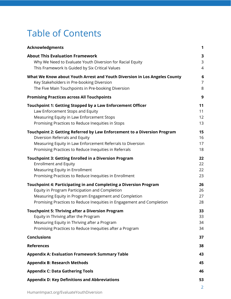## Table of Contents

| <b>Acknowledgments</b>                                                                                                                                                                                                                                | 1                        |
|-------------------------------------------------------------------------------------------------------------------------------------------------------------------------------------------------------------------------------------------------------|--------------------------|
| <b>About This Evaluation Framework</b><br>Why We Need to Evaluate Youth Diversion for Racial Equity<br>This Framework Is Guided by Six Critical Values                                                                                                | 3<br>3<br>$\overline{4}$ |
| What We Know about Youth Arrest and Youth Diversion in Los Angeles County<br>Key Stakeholders in Pre-booking Diversion<br>The Five Main Touchpoints in Pre-booking Diversion                                                                          | 6<br>$\overline{7}$<br>8 |
| <b>Promising Practices across All Touchpoints</b>                                                                                                                                                                                                     | 9                        |
| Touchpoint 1: Getting Stopped by a Law Enforcement Officer<br>Law Enforcement Stops and Equity<br>Measuring Equity in Law Enforcement Stops<br>Promising Practices to Reduce Inequities in Stops                                                      | 11<br>11<br>12<br>13     |
| Touchpoint 2: Getting Referred by Law Enforcement to a Diversion Program<br>Diversion Referrals and Equity<br>Measuring Equity in Law Enforcement Referrals to Diversion<br>Promising Practices to Reduce Inequities in Referrals                     | 15<br>16<br>17<br>18     |
| <b>Touchpoint 3: Getting Enrolled in a Diversion Program</b><br><b>Enrollment and Equity</b><br>Measuring Equity in Enrollment<br>Promising Practices to Reduce Inequities in Enrollment                                                              | 22<br>22<br>22<br>23     |
| Touchpoint 4: Participating in and Completing a Diversion Program<br>Equity in Program Participation and Completion<br>Measuring Equity in Program Engagement and Completion<br>Promising Practices to Reduce Inequities in Engagement and Completion | 26<br>26<br>27<br>28     |
| <b>Touchpoint 5: Thriving after a Diversion Program</b><br>Equity in Thriving after the Program<br>Measuring Equity in Thriving after a Program<br>Promising Practices to Reduce Inequities after a Program                                           | 33<br>33<br>34<br>34     |
| <b>Conclusions</b>                                                                                                                                                                                                                                    | 37                       |
| <b>References</b>                                                                                                                                                                                                                                     | 38                       |
| <b>Appendix A: Evaluation Framework Summary Table</b>                                                                                                                                                                                                 | 43                       |
| <b>Appendix B: Research Methods</b>                                                                                                                                                                                                                   | 45                       |
| <b>Appendix C: Data Gathering Tools</b>                                                                                                                                                                                                               | 46                       |
| <b>Appendix D: Key Definitions and Abbreviations</b>                                                                                                                                                                                                  | 53<br>2                  |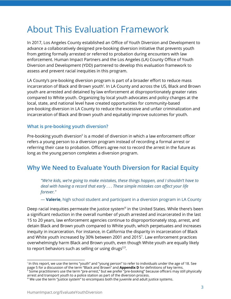## <span id="page-3-0"></span>About This Evaluation Framework

In 2017, Los Angeles County established an Office of Youth Diversion and Development to advance a collaboratively designed pre-booking diversion initiative that prevents youth from getting formally arrested or referred to probation during encounters with law enforcement. Human Impact Partners and the Los Angeles (LA) County Office of Youth Diversion and Development (YDD) partnered to develop this evaluation framework to assess and prevent racial inequities in this program.

LA County's pre-booking diversion program is part of a broader effort to reduce mass incarceration of Black and Brown youth<sup>i</sup>. In LA County and across the US, Black and Brown youth are arrested and detained by law enforcement at disproportionately greater rates compared to White youth. Organizing by local youth advocates and policy changes at the local, state, and national level have created opportunities for community-based pre-booking diversion in LA County to reduce the excessive and unfair criminalization and incarceration of Black and Brown youth and equitably improve outcomes for youth.

#### **What is pre-booking youth diversion?**

Pre-booking youth diversion<sup>ii</sup> is a model of diversion in which a law enforcement officer refers a young person to a diversion program instead of recording a formal arrest or referring their case to probation. Officers agree not to record the arrest in the future as long as the young person completes a diversion program.

## <span id="page-3-1"></span>**Why We Need to Evaluate Youth Diversion for Racial Equity**

*"We're kids, we're going to make mistakes, these things happen, and I shouldn't have to deal with having a record that early . . . These simple mistakes can affect your life forever."*

— **Valerie**, high school student and participant in a diversion program in LA County

Deep racial inequities permeate the justice system<sup>ii</sup> in the United States. While there's been a significant reduction in the overall number of youth arrested and incarcerated in the last 15 to 20 years, law enforcement agencies continue to disproportionately stop, arrest, and detain Black and Brown youth compared to White youth, which perpetuates and increases inequity in incarceration. For instance, in California the disparity in incarceration of Black and White youth increased by 30% between 2001 and 2015 [1](https://www.zotero.org/google-docs/?jOeHUn) . Law enforcement practices overwhelmingly harm Black and Brown youth, even though White youth are equally likely to report behaviors such as selling or using drugs $^{2,3}.$  $^{2,3}.$  $^{2,3}.$  $^{2,3}.$ 

\_\_\_\_\_\_\_\_\_\_\_\_\_\_\_\_\_\_\_\_\_\_\_\_\_\_\_\_\_\_\_

i In this report, we use the terms "youth" and "young person" to refer to individuals under the age of 18. See page 5 for a discussion of the term "Black and Brown" and **Appendix D** for definitions of key terms. ii Some practitioners use the term "pre-arrest," but we prefer "pre-booking" because officers may still physically

arrest and transport youth to a police station as part of the diversion process.

 $^{\text{\tiny{\text{iii}}}}$  We use the term "justice system" to encompass both the juvenile and adult justice systems.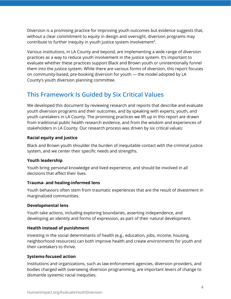Diversion is a promising practice for improving youth outcomes but evidence suggests that, without a clear commitment to equity in design and oversight, diversion programs may contribute to further inequity in youth justice system involvement [4](https://www.zotero.org/google-docs/?DIPvw8) .

Various institutions, in LA County and beyond, are implementing a wide range of diversion practices as a way to reduce youth involvement in the justice system. It's important to evaluate whether these practices support Black and Brown youth or unintentionally funnel them into the justice system. While there are various forms of diversion, this report focuses on community-based, pre-booking diversion for youth — the model adopted by LA County's youth diversion planning committee.

## <span id="page-4-0"></span>**This Framework Is Guided by Six Critical Values**

We developed this document by reviewing research and reports that describe and evaluate youth diversion programs and their outcomes, and by speaking with experts, youth, and youth caretakers in LA County. The promising practices we lift up in this report are drawn from traditional public health research evidence, and from the wisdom and experiences of stakeholders in LA County. Our research process was driven by six critical values:

#### **Racial equity and justice**

Black and Brown youth shoulder the burden of inequitable contact with the criminal justice system, and we center their specific needs and strengths.

#### **Youth leadership**

Youth bring personal knowledge and lived experience, and should be involved in all decisions that affect their lives.

#### **Trauma- and healing-informed lens**

Youth behaviors often stem from traumatic experiences that are the result of divestment in marginalized communities.

#### **Developmental lens**

Youth take actions, including exploring boundaries, asserting independence, and developing an identity and forms of expression, as part of their natural development.

#### **Health instead of punishment**

Investing in the social determinants of health (e.g., education, jobs, income, housing, neighborhood resources) can both improve health and create environments for youth and their caretakers to thrive.

#### **Systems-focused action**

Institutions and organizations, such as law enforcement agencies, diversion providers, and bodies charged with overseeing diversion programming, are important levers of change to dismantle systemic racial inequities.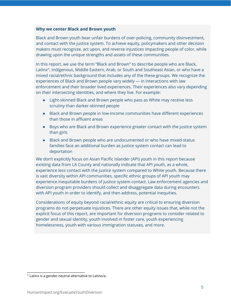#### **Why we center Black and Brown youth**

Black and Brown youth bear unfair burdens of over-policing, community disinvestment, and contact with the justice system. To achieve equity, policymakers and other decision makers must recognize, act upon, and reverse injustices impacting people of color, while drawing upon the unique strengths and assets of these communities.

In this report, we use the term "Black and Brown" to describe people who are Black, Latinx<sup>iv</sup>, Indigenous, Middle Eastern, Arab, or South and Southeast Asian, or who have a mixed racial/ethnic background that includes any of the these groups. We recognize the experiences of Black and Brown people vary widely — in interactions with law enforcement and their broader lived experiences. Their experiences also vary depending on their intersecting identities, and where they live. For example:

- Light-skinned Black and Brown people who pass as White may receive less scrutiny than darker-skinned people
- Black and Brown people in low-income communities have different experiences than those in affluent areas
- Boys who are Black and Brown experience greater contact with the justice system than girls
- Black and Brown people who are undocumented or who have mixed-status families face an additional burden as justice system contact can lead to deportation

We don't explicitly focus on Asian Pacific Islander (API) youth in this report because existing data from LA County and nationally indicate that API youth, as a whole, experience less contact with the justice system compared to White youth. Because there is vast diversity within API communities, specific ethnic groups of API youth may experience inequitable burdens of justice system contact. Law enforcement agencies and diversion program providers should collect and disaggregate data during encounters with API youth in order to identify, and then address, potential inequities.

Considerations of equity beyond racial/ethnic equity are critical to ensuring diversion programs do not perpetuate injustices. There are other equity issues that, while not the explicit focus of this report, are important for diversion programs to consider related to gender and sexual identity, youth involved in foster care, youth experiencing homelessness, youth with various immigration statuses, and more.

\_\_\_\_\_\_\_\_\_\_\_\_\_\_\_\_\_\_\_\_\_\_\_\_\_\_\_\_\_\_\_

iv Latinx is a gender-neutral alternative to Latino/a.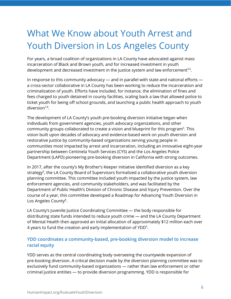## <span id="page-6-0"></span>What We Know about Youth Arrest and Youth Diversion in Los Angeles County

For years, a broad coalition of organizations in LA County have advocated against mass incarceration of Black and Brown youth, and for increased investment in youth development and decreased investment in the justice system and law enforcement $^{5,6}$  $^{5,6}$  $^{5,6}$ .

In response to this community advocacy — and in parallel with state and national efforts a cross-sector collaborative in LA County has been working to reduce the incarceration and criminalization of youth. Efforts have included, for instance, the elimination of fines and fees charged to youth detained in county facilities, scaling back a law that allowed police to ticket youth for being off school grounds, and launching a public health approach to youth diversion<sup>[7,8](https://www.zotero.org/google-docs/?zsaioJ)</sup>.

The development of LA County's youth pre-booking diversion initiative began when individuals from government agencies, youth advocacy organizations, and other community groups collaborated to create a vision and blueprint for this program<sup>[5](https://www.zotero.org/google-docs/?YbruQk)</sup>. This vision built upon decades of advocacy and evidence-based work on youth diversion and restorative justice by community-based organizations serving young people in communities most impacted by arrest and incarceration, including an innovative eight-year partnership between Centinela Youth Services (CYS) and the Los Angeles Police Department (LAPD) pioneering pre-booking diversion in California with strong outcomes.

In 2017, after the county's My Brother's Keeper initiative identified diversion as a key strategy [9](https://www.zotero.org/google-docs/?YF2I4Q) , the LA County Board of Supervisors formalized a collaborative youth diversion planning committee. This committee included youth impacted by the justice system, law enforcement agencies, and community stakeholders, and was facilitated by the Department of Public Health's Division of Chronic Disease and Injury Prevention. Over the course of a year, this committee developed a Roadmap for Advancing Youth Diversion in Los Angeles County<sup>[8](https://www.zotero.org/google-docs/?np2Haj)</sup>.

LA County's Juvenile Justice Coordinating Committee — the body responsible for distributing state funds intended to reduce youth crime — and the LA County Department of Mental Health then approved an initial allocation of approximately \$12 million each over 4 years to fund the creation and early implementation of YDD $<sup>5</sup>$  $<sup>5</sup>$  $<sup>5</sup>$ .</sup>

#### **YDD coordinates a community-based, pre-booking diversion model to increase racial equity**

YDD serves as the central coordinating body overseeing the countywide expansion of pre-booking diversion. A critical decision made by the diversion planning committee was to exclusively fund community-based organizations — rather than law enforcement or other criminal justice entities — to provide diversion programming. YDD is responsible for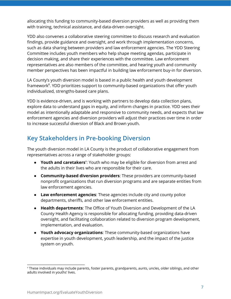allocating this funding to community-based diversion providers as well as providing them with training, technical assistance, and data-driven oversight.

YDD also convenes a collaborative steering committee to discuss research and evaluation findings, provide guidance and oversight, and work through implementation concerns, such as data sharing between providers and law enforcement agencies. The YDD Steering Committee includes youth members who help shape meeting agendas, participate in decision making, and share their experiences with the committee. Law enforcement representatives are also members of the committee, and hearing youth and community member perspectives has been impactful in building law enforcement buy-in for diversion.

LA County's youth diversion model is based in a public health and youth development framework<sup>[8](https://www.zotero.org/google-docs/?0x8dpe)</sup>. YDD prioritizes support to community-based organizations that offer youth individualized, strengths-based care plans.

YDD is evidence-driven, and is working with partners to develop data collection plans, explore data to understand gaps in equity, and inform changes in practice. YDD sees their model as intentionally adaptable and responsive to community needs, and expects that law enforcement agencies and diversion providers will adjust their practices over time in order to increase successful diversion of Black and Brown youth.

## <span id="page-7-0"></span>**Key Stakeholders in Pre-booking Diversion**

The youth diversion model in LA County is the product of collaborative engagement from representatives across a range of stakeholder groups:

- **Youth and caretakers**": Youth who may be eligible for diversion from arrest and the adults in their lives who are responsible for their care.
- **Community-based diversion providers**: These providers are community-based nonprofit organizations that run diversion programs and are separate entities from law enforcement agencies.
- **Law enforcement agencies**: These agencies include city and county police departments, sheriffs, and other law enforcement entities.
- **Health departments**: The Office of Youth Diversion and Development of the LA County Health Agency is responsible for allocating funding, providing data-driven oversight, and facilitating collaboration related to diversion program development, implementation, and evaluation.
- **● Youth advocacy organizations**: These community-based organizations have expertise in youth development, youth leadership, and the impact of the justice system on youth.

\_\_\_\_\_\_\_\_\_\_\_\_\_\_\_\_\_\_\_\_\_\_\_\_\_\_\_\_\_\_\_

v These individuals may include parents, foster parents, grandparents, aunts, uncles, older siblings, and other adults involved in youths' lives.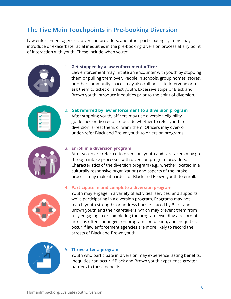## <span id="page-8-0"></span>**The Five Main Touchpoints in Pre-booking Diversion**

Law enforcement agencies, diversion providers, and other participating systems may introduce or exacerbate racial inequities in the pre-booking diversion process at any point of interaction with youth. These include when youth:



#### 1. **Get stopped by a law enforcement officer**

Law enforcement may initiate an encounter with youth by stopping them or pulling them over. People in schools, group homes, stores, or other community spaces may also call police to intervene or to ask them to ticket or arrest youth. Excessive stops of Black and Brown youth introduce inequities prior to the point of diversion.



#### 2. **Get referred by law enforcement to a diversion program**

After stopping youth, officers may use diversion eligibility guidelines or discretion to decide whether to refer youth to diversion, arrest them, or warn them. Officers may over- or under-refer Black and Brown youth to diversion programs.



#### 3. **Enroll in a diversion program**

After youth are referred to diversion, youth and caretakers may go through intake processes with diversion program providers. Characteristics of the diversion program (e.g., whether located in a culturally responsive organization) and aspects of the intake process may make it harder for Black and Brown youth to enroll.



#### 4. **Participate in and complete a diversion program**

Youth may engage in a variety of activities, services, and supports while participating in a diversion program. Programs may not match youth strengths or address barriers faced by Black and Brown youth and their caretakers, which may prevent them from fully engaging in or completing the program. Avoiding a record of arrest is often contingent on program completion, and inequities occur if law enforcement agencies are more likely to record the arrests of Black and Brown youth.



#### 5. **Thrive after a program**

Youth who participate in diversion may experience lasting benefits. Inequities can occur if Black and Brown youth experience greater barriers to these benefits.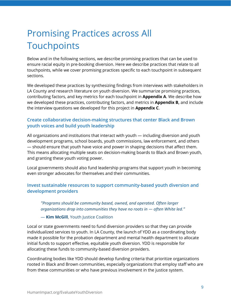## <span id="page-9-0"></span>Promising Practices across All **Touchpoints**

Below and in the following sections, we describe promising practices that can be used to ensure racial equity in pre-booking diversion. Here we describe practices that relate to all touchpoints, while we cover promising practices specific to each touchpoint in subsequent sections.

We developed these practices by synthesizing findings from interviews with stakeholders in LA County and research literature on youth diversion. We summarize promising practices, contributing factors, and key metrics for each touchpoint in **Appendix A**. We describe how we developed these practices, contributing factors, and metrics in **Appendix B,** and include the interview questions we developed for this project in **Appendix C**.

#### **Create collaborative decision-making structures that center Black and Brown youth voices and build youth leadership**

All organizations and institutions that interact with youth — including diversion and youth development programs, school boards, youth commissions, law enforcement, and others — should ensure that youth have voice and power in shaping decisions that affect them. This means allocating multiple seats on decision-making boards to Black and Brown youth, and granting these youth voting power.

Local governments should also fund leadership programs that support youth in becoming even stronger advocates for themselves and their communities.

#### **Invest sustainable resources to support community-based youth diversion and development providers**

*"Programs should be community based, owned, and operated. Often larger organizations drop into communities they have no roots in — often White led."*

— **Kim McGill**, Youth Justice Coalition

Local or state governments need to fund diversion providers so that they can provide individualized services to youth. In LA County, the launch of YDD as a coordinating body made it possible for the probation department and mental health department to allocate initial funds to support effective, equitable youth diversion. YDD is responsible for allocating these funds to community-based diversion providers.

Coordinating bodies like YDD should develop funding criteria that prioritize organizations rooted in Black and Brown communities, especially organizations that employ staff who are from these communities or who have previous involvement in the justice system.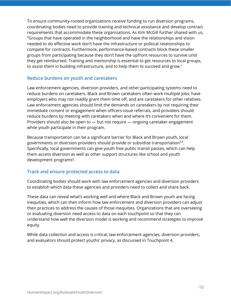To ensure community-rooted organizations receive funding to run diversion programs, coordinating bodies need to provide training and technical assistance and develop contract requirements that accommodate these organizations. As Kim McGill further shared with us, "Groups that have operated in the neighborhood and have the relationships and vision needed to do effective work don't have the infrastructure or political relationships to compete for contracts. Furthermore, performance-based contracts block these smaller groups from participating because they don't have the upfront resources to survive until they get reimbursed. Training and mentorship is essential to get resources to local groups, to assist them in building infrastructure, and to help them to succeed and grow."

#### **Reduce burdens on youth and caretakers**

Law enforcement agencies, diversion providers, and other participating systems need to reduce burdens on caretakers. Black and Brown caretakers often work multiple jobs, have employers who may not readily grant them time off, and are caretakers for other relatives. Law enforcement agencies should limit the demands on caretakers by not requiring their immediate consent or engagement when officers issue referrals, and providers should reduce burdens by meeting with caretakers when and where it's convenient for them. Providers should also be open to — but not require — ongoing caretaker engagement while youth participate in their program.

Because transportation can be a significant barrier for Black and Brown youth, local governments or diversion providers should provide or subsidize transportation $^{6,8}.$  $^{6,8}.$  $^{6,8}.$ Specifically, local governments can give youth free public transit passes, which can help them access diversion as well as other support structures like school and youth development programs [6](https://www.zotero.org/google-docs/?kIUOF5) .

#### **Track and ensure protected access to data**

Coordinating bodies should work with law enforcement agencies and diversion providers to establish which data these agencies and providers need to collect and share back.

These data can reveal what's working well and where Black and Brown youth are facing inequities, which can then inform how law enforcement and diversion providers can adjust their practices to address the causes of those inequities. Organizations that are overseeing or evaluating diversion need access to data on each touchpoint so that they can understand how well the diversion model is working and recommend strategies to improve equity.

While data collection and access is critical, law enforcement agencies, diversion providers, and evaluators should protect youths' privacy, as discussed in Touchpoint 4.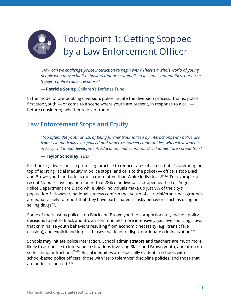<span id="page-11-0"></span>

*"How can we challenge police interaction to begin with? There's a whole world of young people who may exhibit behaviors that are criminalized in some communities, but never trigger a police call or response."*

— **Patricia Soung**, Children's Defense Fund

In the model of pre-booking diversion, police initiate the diversion process. That is, police first stop youth — or come to a scene where youth are present, in response to a call before considering whether to divert them.

### <span id="page-11-1"></span>**Law Enforcement Stops and Equity**

*"Too often, the youth at risk of being further traumatized by interactions with police are from systematically over-policed and under-resourced communities, where investments in early childhood development, education, and economic development are spread thin."*

#### — **Taylor Schooley**, YDD

Pre-booking diversion is a promising practice to reduce rates of arrest, but it's operating on top of existing racial inequity in police stops (and calls to the police) — officers stop Black and Brown youth and adults much more often than White individuals [10–12](https://www.zotero.org/google-docs/?Vah1Zr) . For example, a recent *LA Times* investigation found that 28% of individuals stopped by the Los Angeles Police Department are Black, while Black individuals make up just 9% of the city's population [13](https://www.zotero.org/google-docs/?jHlT6O) . However, national surveys confirm that youth of all racial/ethnic backgrounds are equally likely to report that they have participated in risky behaviors such as using or selling drugs<sup>[2,3](https://www.zotero.org/google-docs/?1m1Kqf)</sup>.

Some of the reasons police stop Black and Brown youth disproportionately include policy decisions to patrol Black and Brown communities more intensively (i.e., over-policing), laws that criminalize youth behaviors resulting from economic necessity (e.g., transit fare evasion), and explicit and implicit biases that lead to disproportionate criminalization $6,14$ .

Schools may initiate police interaction. School administrators and teachers are much more likely to ask police to intervene in situations involving Black and Brown youth, and often do so for minor infractions<sup>[15–18](https://www.zotero.org/google-docs/?s3zYQ6)</sup>. Racial inequities are especially evident in schools with school-based police officers, those with "zero tolerance" discipline policies, and those that are under-resourced<sup>[18,19](https://www.zotero.org/google-docs/?PRYSDo)</sup>.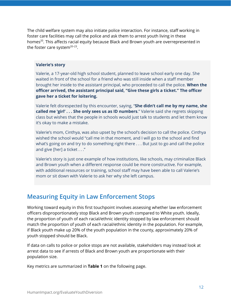The child welfare system may also initiate police interaction. For instance, staff working in foster care facilities may call the police and ask them to arrest youth living in these homes [20](https://www.zotero.org/google-docs/?bJ3OPW) . This affects racial equity because Black and Brown youth are overrepresented in the foster care system $^{20-23}$ .

#### **Valerie's story**

Valerie, a 17-year-old high school student, planned to leave school early one day. She waited in front of the school for a friend who was still inside when a staff member brought her inside to the assistant principal, who proceeded to call the police. **When the officer arrived, the assistant principal said, "Give these girls a ticket." The officer gave her a ticket for loitering.**

Valerie felt disrespected by this encounter, saying, "**She didn't call me by my name, she called me 'girl' . . . She only sees us as ID numbers**." Valerie said she regrets skipping class but wishes that the people in schools would just talk to students and let them know it's okay to make a mistake.

Valerie's mom, Cinthya, was also upset by the school's decision to call the police. Cinthya wished the school would "call me in that moment, and I will go to the school and find what's going on and try to do something right there . . . But just to go and call the police and give [her] a ticket . . ."

Valerie's story is just one example of how institutions, like schools, may criminalize Black and Brown youth when a different response could be more constructive. For example, with additional resources or training, school staff may have been able to call Valerie's mom or sit down with Valerie to ask her why she left campus.

### <span id="page-12-0"></span>**Measuring Equity in Law Enforcement Stops**

Working toward equity in this first touchpoint involves assessing whether law enforcement officers disproportionately stop Black and Brown youth compared to White youth. Ideally, the proportion of youth of each racial/ethnic identity stopped by law enforcement should match the proportion of youth of each racial/ethnic identity in the population. For example, if Black youth make up 20% of the youth population in the county, approximately 20% of youth stopped should be Black.

If data on calls to police or police stops are not available, stakeholders may instead look at arrest data to see if arrests of Black and Brown youth are proportionate with their population size.

Key metrics are summarized in **Table 1** on the following page.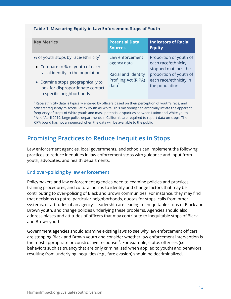#### **Table 1. Measuring Equity in Law Enforcement Stops of Youth**

| <b>Key Metrics</b>                                                                                                                                                                                                             | <b>Potential Data</b><br><b>Sources</b>                                                            | <b>Indicators of Racial</b><br><b>Equity</b>                                                                                               |  |
|--------------------------------------------------------------------------------------------------------------------------------------------------------------------------------------------------------------------------------|----------------------------------------------------------------------------------------------------|--------------------------------------------------------------------------------------------------------------------------------------------|--|
| % of youth stops by race/ethnicity <sup>1</sup><br>• Compare to % of youth of each<br>racial identity in the population<br>• Examine stops geographically to<br>look for disproportionate contact<br>in specific neighborhoods | Law enforcement<br>agency data<br>Racial and Identity<br>Profiling Act (RIPA)<br>data <sup>2</sup> | Proportion of youth of<br>each race/ethnicity<br>stopped matches the<br>proportion of youth of<br>each race/ethnicity in<br>the population |  |
| Race/ethnicity data is typically entered by officers based on their perception of youth's race, and                                                                                                                            |                                                                                                    |                                                                                                                                            |  |

 Race/ethnicity data is typically entered by officers based on their perception of youth's race, and officers frequently miscode Latinx youth as White. This miscoding can artificially inflate the apparent frequency of stops of White youth and mask potential disparities between Latinx and White youth.  $^2$  As of April 2019, large police departments in California are required to report data on stops. The RIPA board has not announced when the data will be available to the public.

## <span id="page-13-0"></span>**Promising Practices to Reduce Inequities in Stops**

Law enforcement agencies, local governments, and schools can implement the following practices to reduce inequities in law enforcement stops with guidance and input from youth, advocates, and health departments.

#### **End over-policing by law enforcement**

Policymakers and law enforcement agencies need to examine policies and practices, training procedures, and cultural norms to identify and change factors that may be contributing to over-policing of Black and Brown communities. For instance, they may find that decisions to patrol particular neighborhoods, quotas for stops, calls from other systems, or attitudes of an agency's leadership are leading to inequitable stops of Black and Brown youth, and change policies underlying these problems. Agencies should also address biases and attitudes of officers that may contribute to inequitable stops of Black and Brown youth.

Government agencies should examine existing laws to see why law enforcement officers are stopping Black and Brown youth and consider whether law enforcement intervention is the most appropriate or constructive response [14](https://www.zotero.org/google-docs/?pJOA2A) . For example, status offenses (i.e., behaviors such as truancy that are only criminalized when applied to youth) and behaviors resulting from underlying inequities (e.g., fare evasion) should be decriminalized.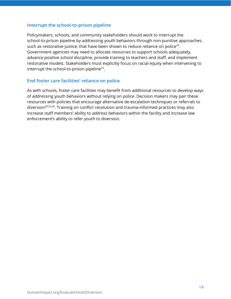#### **Interrupt the school-to-prison pipeline**

Policymakers, schools, and community stakeholders should work to interrupt the school-to-prison pipeline by addressing youth behaviors through non-punitive approaches, such as restorative justice, that have been shown to reduce reliance on police $^{24}.$  $^{24}.$  $^{24}.$ Government agencies may need to allocate resources to support schools adequately, advance positive school discipline, provide training to teachers and staff, and implement restorative models. Stakeholders must explicitly focus on racial equity when intervening to interrupt the school-to-prison pipeline [25](https://www.zotero.org/google-docs/?fCGqx9) .

#### **End foster care facilities' reliance on police**

As with schools, foster care facilities may benefit from additional resources to develop ways of addressing youth behaviors without relying on police. Decision makers may pair these resources with policies that encourage alternative de-escalation techniques or referrals to diversion<sup>[20,23,26](https://www.zotero.org/google-docs/?1KspdZ)</sup>. Training on conflict resolution and trauma-informed practices may also increase staff members' ability to address behaviors within the facility and increase law enforcement's ability to refer youth to diversion.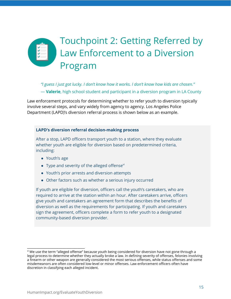## <span id="page-15-0"></span>Touchpoint 2: Getting Referred by Law Enforcement to a Diversion Program

*"I guess I just got lucky. I don't know how it works. I don't know how kids are chosen."* — **Valerie**, high school student and participant in a diversion program in LA County

Law enforcement protocols for determining whether to refer youth to diversion typically involve several steps, and vary widely from agency to agency. Los Angeles Police Department (LAPD)'s diversion referral process is shown below as an example.

#### **LAPD's diversion referral decision-making process**

After a stop, LAPD officers transport youth to a station, where they evaluate whether youth are eligible for diversion based on predetermined criteria, including:

- Youth's age
- Type and severity of the alleged offense $\forall$ i
- Youth's prior arrests and diversion attempts
- Other factors such as whether a serious injury occurred

If youth are eligible for diversion, officers call the youth's caretakers, who are required to arrive at the station within an hour. After caretakers arrive, officers give youth and caretakers an agreement form that describes the benefits of diversion as well as the requirements for participating. If youth and caretakers sign the agreement, officers complete a form to refer youth to a designated community-based diversion provider.

\_\_\_\_\_\_\_\_\_\_\_\_\_\_\_\_\_\_\_\_\_\_\_\_\_\_\_\_\_\_\_

 $^{\rm w}$  We use the term "alleged offense" because youth being considered for diversion have not gone through a legal process to determine whether they actually broke a law. In defining severity of offenses, felonies involving a firearm or other weapon are generally considered the most serious offenses, while status offenses and some misdemeanors are often considered low-level or minor offenses. Law enforcement officers often have discretion in classifying each alleged incident.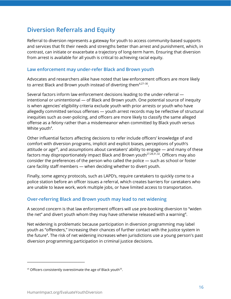## <span id="page-16-0"></span>**Diversion Referrals and Equity**

Referral to diversion represents a gateway for youth to access community-based supports and services that fit their needs and strengths better than arrest and punishment, which, in contrast, can initiate or exacerbate a trajectory of long-term harm. Ensuring that diversion from arrest is available for all youth is critical to achieving racial equity.

#### **Law enforcement may under-refer Black and Brown youth**

Advocates and researchers alike have noted that law enforcement officers are more likely to arrest Black and Brown youth instead of diverting them $^{4,27-30}.$ 

Several factors inform law enforcement decisions leading to the under-referral intentional or unintentional — of Black and Brown youth. One potential source of inequity is when agencies' eligibility criteria exclude youth with prior arrests or youth who have allegedly committed serious offenses — youth arrest records may be reflective of structural inequities such as over-policing, and officers are more likely to classify the same alleged offense as a felony rather than a misdemeanor when committed by Black youth versus White youth<sup>[4](https://www.zotero.org/google-docs/?qmjL8G)</sup>.

Other influential factors affecting decisions to refer include officers' knowledge of and comfort with diversion programs, implicit and explicit biases, perceptions of youth's attitude or age<sup>vii</sup>, and assumptions about caretakers' ability to engage — and many of these factors may disproportionately impact Black and Brown youth [27,28,31,32](https://www.zotero.org/google-docs/?dqz8FS) . Officers may also consider the preferences of the person who called the police — such as school or foster care facility staff members — when deciding whether to divert youth.

Finally, some agency protocols, such as LAPD's, require caretakers to quickly come to a police station before an officer issues a referral, which creates barriers for caretakers who are unable to leave work, work multiple jobs, or have limited access to transportation.

#### **Over-referring Black and Brown youth may lead to net widening**

A second concern is that law enforcement officers will use pre-booking diversion to "widen the net" and divert youth whom they may have otherwise released with a warning $^4$  $^4$ .

Net widening is problematic because participation in diversion programming may label youth as "offenders," increasing their chances of further contact with the justice system in the future<sup>[4](https://www.zotero.org/google-docs/?sRbdQk)</sup>. The risk of net widening increases when jurisdictions use a young person's past diversion programming participation in criminal justice decisions.

\_\_\_\_\_\_\_\_\_\_\_\_\_\_\_\_\_\_\_\_\_\_\_\_\_\_\_\_\_\_\_

 $\mathrm{v}$  Officers consistently overestimate the age of Black youth $^{33}$  $^{33}$  $^{33}$ .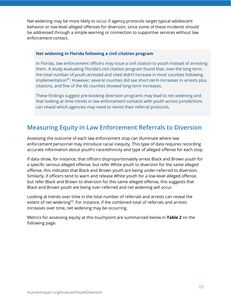Net widening may be more likely to occur if agency protocols target typical adolescent behavior or low-level alleged offenses for diversion, since some of these incidents should be addressed through a simple warning or connection to supportive services without law enforcement contact.

#### **Net widening in Florida following a civil citation program**

In Florida, law enforcement officers may issue a civil citation to youth instead of arresting them. A study evaluating Florida's civil citation program found that, over the long term, the total number of youth arrested and cited didn't increase in most counties following implementation [30](https://www.zotero.org/google-docs/?UnbttC) . However, several counties did see short-term increases in arrests plus citations, and five of the 60 counties showed long-term increases.

These findings suggest pre-booking diversion programs may lead to net widening and that looking at time trends in law enforcement contacts with youth across jurisdictions can reveal which agencies may need to revisit their referral protocols.

### <span id="page-17-0"></span>**Measuring Equity in Law Enforcement Referrals to Diversion**

Assessing the outcome of each law enforcement stop can illuminate where law enforcement personnel may introduce racial inequity. This type of data requires recording accurate information about youth's race/ethnicity and type of alleged offense for each stop.

If data show, for instance, that officers disproportionately arrest Black and Brown youth for a specific serious alleged offense, but refer White youth to diversion for the same alleged offense, this indicates that Black and Brown youth are being under-referred to diversion. Similarly, if officers tend to warn and release White youth for a low-level alleged offense, but refer Black and Brown to diversion for this same alleged offense, this suggests that Black and Brown youth are being over-referred and net widening will occur.

Looking at trends over time in the total number of referrals and arrests can reveal the extent of net widening<sup>[30](https://www.zotero.org/google-docs/?VIXciq)</sup>. For instance, if the combined total of referrals and arrests increases over time, net widening may be occurring.

Metrics for assessing equity at this touchpoint are summarized below in **Table 2** on the following page.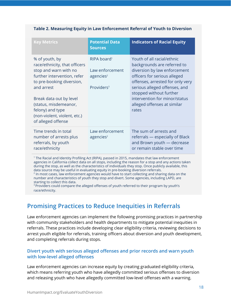#### **Table 2. Measuring Equity in Law Enforcement Referral of Youth to Diversion**

| <b>Key Metrics</b>                                                                                                                                                                                                                                                               | <b>Potential Data</b><br><b>Sources</b>                                                       | <b>Indicators of Racial Equity</b>                                                                                                                                                                                                                                                                 |
|----------------------------------------------------------------------------------------------------------------------------------------------------------------------------------------------------------------------------------------------------------------------------------|-----------------------------------------------------------------------------------------------|----------------------------------------------------------------------------------------------------------------------------------------------------------------------------------------------------------------------------------------------------------------------------------------------------|
| % of youth, by<br>race/ethnicity, that officers<br>stop and warn with no<br>further intervention, refer<br>to pre-booking diversion,<br>and arrest<br>Break data out by level<br>(status, misdemeanor,<br>felony) and type<br>(non-violent, violent, etc.)<br>of alleged offense | RIPA board <sup>1</sup><br>Law enforcement<br>agencies <sup>2</sup><br>Providers <sup>3</sup> | Youth of all racial/ethnic<br>backgrounds are referred to<br>diversion by law enforcement<br>officers for serious alleged<br>offenses, arrested for only very<br>serious alleged offenses, and<br>stopped without further<br>intervention for minor/status<br>alleged offenses at similar<br>rates |
| Time trends in total<br>number of arrests plus<br>referrals, by youth<br>race/ethnicity                                                                                                                                                                                          | Law enforcement<br>agencies <sup>2</sup>                                                      | The sum of arrests and<br>referrals — especially of Black<br>and Brown youth - decrease<br>or remain stable over time                                                                                                                                                                              |

<sup>1</sup> The Racial and Identity Profiling Act (RIPA), passed in 2015, mandates that law enforcement agencies in California collect data on all stops, including the reason for a stop and any actions taken during the stop, as well as the characteristics of individuals they stop. Once publicly available, this data source may be useful in evaluating equity in pre-booking diversion referrals.

<sup>2</sup> In most cases, law enforcement agencies would have to start collecting and sharing data on the number and characteristics of youth they stop and divert. Some agencies, including LAPD, are starting to collect this data.

<sup>3</sup> Providers could compare the alleged offenses of youth referred to their program by youth's race/ethnicity.

### <span id="page-18-0"></span>**Promising Practices to Reduce Inequities in Referrals**

Law enforcement agencies can implement the following promising practices in partnership with community stakeholders and health departments to mitigate potential inequities in referrals. These practices include developing clear eligibility criteria, reviewing decisions to arrest youth eligible for referrals, training officers about diversion and youth development, and completing referrals during stops.

#### **Divert youth with serious alleged offenses and prior records and warn youth with low-level alleged offenses**

Law enforcement agencies can increase equity by creating graduated eligibility criteria, which means referring youth who have allegedly committed serious offenses to diversion and releasing youth who have allegedly committed low-level offenses with a warning.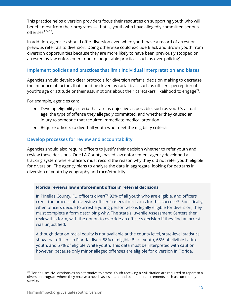This practice helps diversion providers focus their resources on supporting youth who will benefit most from their programs — that is, youth who have allegedly committed serious offenses [4,34,35](https://www.zotero.org/google-docs/?NU5pHv) .

In addition, agencies should offer diversion even when youth have a record of arrest or previous referrals to diversion. Doing otherwise could exclude Black and Brown youth from diversion opportunities because they are more likely to have been previously stopped or arrested by law enforcement due to inequitable practices such as over-policing $^4$  $^4$ .

#### **Implement policies and practices that limit individual interpretation and biases**

Agencies should develop clear protocols for diversion referral decision making to decrease the influence of factors that could be driven by racial bias, such as officers' perception of youth's age or attitude or their assumptions about their caretakers' likelihood to engage $^{27}\!.$  $^{27}\!.$  $^{27}\!.$ 

For example, agencies can:

- Develop eligibility criteria that are as objective as possible, such as youth's actual age, the type of offense they allegedly committed, and whether they caused an injury to someone that required immediate medical attention
- Require officers to divert all youth who meet the eligibility criteria

#### **Develop processes for review and accountability**

Agencies should also require officers to justify their decision whether to refer youth and review these decisions. One LA County–based law enforcement agency developed a tracking system where officers must record the reason why they did not refer youth eligible for diversion. The agency plans to analyze the data in aggregate, looking for patterns in diversion of youth by geography and race/ethnicity.

#### **Florida reviews law enforcement officers' referral decisions**

In Pinellas County, FL, officers divert<sup>viii</sup> 93% of all youth who are eligible, and officers credit the process of reviewing officers' referral decisions for this success [36](https://www.zotero.org/google-docs/?AQ4Nu8) . Specifically, when officers decide to arrest a young person who is legally eligible for diversion, they must complete a form describing why. The state's Juvenile Assessment Centers then review this form, with the option to override an officer's decision if they find an arrest was unjustified.

Although data on racial equity is not available at the county level, state-level statistics show that officers in Florida divert 58% of eligible Black youth, 65% of eligible Latinx youth, and 57% of eligible White youth. This data must be interpreted with caution, however, because only minor alleged offenses are eligible for diversion in Florida.

\_\_\_\_\_\_\_\_\_\_\_\_\_\_\_\_\_\_\_\_\_\_\_\_\_\_\_\_\_\_\_

<sup>&</sup>lt;sup>viii</sup> Florida uses civil citations as an alternative to arrest. Youth receiving a civil citation are required to report to a diversion program where they receive a needs assessment and complete requirements such as community service.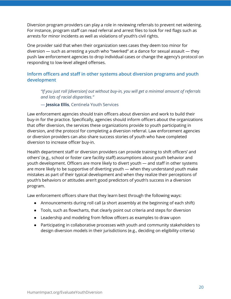Diversion program providers can play a role in reviewing referrals to prevent net widening. For instance, program staff can read referral and arrest files to look for red flags such as arrests for minor incidents as well as violations of youth's civil rights.

One provider said that when their organization sees cases they deem too minor for diversion — such as arresting a youth who "twerked" at a dance for sexual assault — they push law enforcement agencies to drop individual cases or change the agency's protocol on responding to low-level alleged offenses.

#### **Inform officers and staff in other systems about diversion programs and youth development**

*"If you just roll [diversion] out without buy-in, you will get a minimal amount of referrals and lots of racial disparities."*

— **Jessica Ellis**, Centinela Youth Services

Law enforcement agencies should train officers about diversion and work to build their buy-in for the practice. Specifically, agencies should inform officers about the organizations that offer diversion, the services these organizations provide to youth participating in diversion, and the protocol for completing a diversion referral. Law enforcement agencies or diversion providers can also share success stories of youth who have completed diversion to increase officer buy-in.

Health department staff or diversion providers can provide training to shift officers' and others' (e.g., school or foster care facility staff) assumptions about youth behavior and youth development. Officers are more likely to divert youth — and staff in other systems are more likely to be supportive of diverting youth — when they understand youth make mistakes as part of their typical development and when they realize their perceptions of youth's behaviors or attitudes aren't good predictors of youth's success in a diversion program.

Law enforcement officers share that they learn best through the following ways:

- Announcements during roll call (a short assembly at the beginning of each shift)
- Tools, such as flowcharts, that clearly point out criteria and steps for diversion
- Leadership and modeling from fellow officers as examples to draw upon
- Participating in collaborative processes with youth and community stakeholders to design diversion models in their jurisdictions (e.g., deciding on eligibility criteria)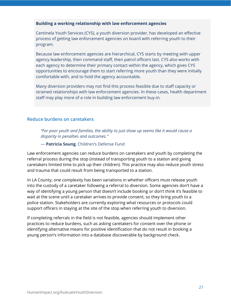#### **Building a working relationship with law enforcement agencies**

Centinela Youth Services (CYS), a youth diversion provider, has developed an effective process of getting law enforcement agencies on board with referring youth to their program.

Because law enforcement agencies are hierarchical, CYS starts by meeting with upper agency leadership, then command staff, then patrol officers last. CYS also works with each agency to determine their primary contact within the agency, which gives CYS opportunities to encourage them to start referring more youth than they were initially comfortable with, and to hold the agency accountable.

Many diversion providers may not find this process feasible due to staff capacity or strained relationships with law enforcement agencies. In these cases, health department staff may play more of a role in building law enforcement buy-in.

#### **Reduce burdens on caretakers**

*"For poor youth and families, the ability to just show up seems like it would cause a disparity in penalties and outcomes."*

— **Patricia Soung**, Children's Defense Fund

Law enforcement agencies can reduce burdens on caretakers and youth by completing the referral process during the stop (instead of transporting youth to a station and giving caretakers limited time to pick up their children). This practice may also reduce youth stress and trauma that could result from being transported to a station.

In LA County, one complexity has been variations in whether officers must release youth into the custody of a caretaker following a referral to diversion. Some agencies don't have a way of identifying a young person that doesn't include booking or don't think it's feasible to wait at the scene until a caretaker arrives to provide consent, so they bring youth to a police station. Stakeholders are currently exploring what resources or protocols could support officers in staying at the site of the stop when referring youth to diversion.

If completing referrals in the field is not feasible, agencies should implement other practices to reduce burdens, such as asking caretakers for consent over the phone or identifying alternative means for positive identification that do not result in booking a young person's information into a database discoverable by background check.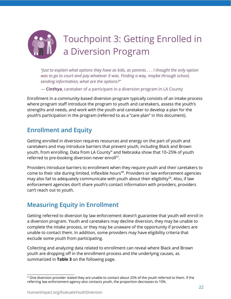<span id="page-22-0"></span>

*"Just to explain what options they have as kids, as parents . . . I thought the only option was to go to court and pay whatever it was. Finding a way, maybe through school, sending information, what are the options?"*

— **Cinthya**, caretaker of a participant in a diversion program in LA County

Enrollment in a community-based diversion program typically consists of an intake process where program staff introduce the program to youth and caretakers, assess the youth's strengths and needs, and work with the youth and caretaker to develop a plan for the youth's participation in the program (referred to as a "care plan" in this document).

### <span id="page-22-1"></span>**Enrollment and Equity**

Getting enrolled in diversion requires resources and energy on the part of youth and caretakers and may introduce barriers that prevent youth, including Black and Brown youth, from enrolling. Data from LA County $^\text{ix}$  and Nebraska show that 10–25% of youth referred to pre-booking diversion never enroll<sup>[37](https://www.zotero.org/google-docs/?ZeIAXw)</sup>.

Providers introduce barriers to enrollment when they require youth and their caretakers to come to their site during limited, inflexible hours<sup>[38](https://www.zotero.org/google-docs/?CGzkHr)</sup>. Providers or law enforcement agencies may also fail to adequately communicate with youth about their eligibility<sup>[29](https://www.zotero.org/google-docs/?xzfKWF)</sup>. Also, if law enforcement agencies don't share youth's contact information with providers, providers can't reach out to youth.

### <span id="page-22-2"></span>**Measuring Equity in Enrollment**

Getting referred to diversion by law enforcement doesn't guarantee that youth will enroll in a diversion program. Youth and caretakers may decline diversion, they may be unable to complete the intake process, or they may be unaware of the opportunity if providers are unable to contact them. In addition, some providers may have eligibility criteria that exclude some youth from participating.

Collecting and analyzing data related to enrollment can reveal where Black and Brown youth are dropping off in the enrollment process and the underlying causes, as summarized in **Table 3** on the following page.

\_\_\_\_\_\_\_\_\_\_\_\_\_\_\_\_\_\_\_\_\_\_\_\_\_\_\_\_\_\_\_

 $^\mathrm{tx}$  One diversion provider stated they are unable to contact about 25% of the youth referred to them. If the referring law enforcement agency also contacts youth, the proportion decreases to 10%.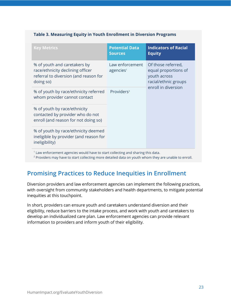#### **Table 3. Measuring Equity in Youth Enrollment in Diversion Programs**

| <b>Key Metrics</b>                                                                                                     | <b>Potential Data</b><br><b>Sources</b>  | <b>Indicators of Racial</b><br><b>Equity</b>                                       |
|------------------------------------------------------------------------------------------------------------------------|------------------------------------------|------------------------------------------------------------------------------------|
| % of youth and caretakers by<br>race/ethnicity declining officer<br>referral to diversion (and reason for<br>doing so) | Law enforcement<br>agencies <sup>1</sup> | Of those referred,<br>equal proportions of<br>youth across<br>racial/ethnic groups |
| % of youth by race/ethnicity referred<br>whom provider cannot contact                                                  | Providers <sup>2</sup>                   | enroll in diversion                                                                |
| % of youth by race/ethnicity<br>contacted by provider who do not<br>enroll (and reason for not doing so)               |                                          |                                                                                    |
| % of youth by race/ethnicity deemed<br>ineligible by provider (and reason for<br>ineligibility)                        |                                          |                                                                                    |

, enforcement agencies would have to start collecting and sharing this data.

<sup>2</sup> Providers may have to start collecting more detailed data on youth whom they are unable to enroll.

### <span id="page-23-0"></span>**Promising Practices to Reduce Inequities in Enrollment**

Diversion providers and law enforcement agencies can implement the following practices, with oversight from community stakeholders and health departments, to mitigate potential inequities at this touchpoint.

In short, providers can ensure youth and caretakers understand diversion and their eligibility, reduce barriers to the intake process, and work with youth and caretakers to develop an individualized care plan. Law enforcement agencies can provide relevant information to providers and inform youth of their eligibility.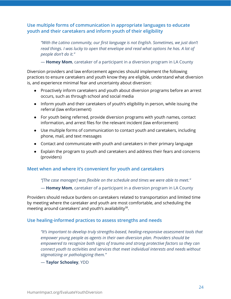**Use multiple forms of communication in appropriate languages to educate youth and their caretakers and inform youth of their eligibility**

*"With the Latino community, our first language is not English. Sometimes, we just don't read things. I was lucky to open that envelope and read what options he has. A lot of people don't do it."*

— **Homey Mom**, caretaker of a participant in a diversion program in LA County

Diversion providers and law enforcement agencies should implement the following practices to ensure caretakers and youth know they are eligible, understand what diversion is, and experience minimal fear and uncertainty about diversion:

- Proactively inform caretakers and youth about diversion programs before an arrest occurs, such as through school and social media
- Inform youth and their caretakers of youth's eligibility in person, while issuing the referral (law enforcement)
- For youth being referred, provide diversion programs with youth names, contact information, and arrest files for the relevant incident (law enforcement)
- Use multiple forms of communication to contact youth and caretakers, including phone, mail, and text messages
- Contact and communicate with youth and caretakers in their primary language
- Explain the program to youth and caretakers and address their fears and concerns (providers)

#### **Meet when and where it's convenient for youth and caretakers**

*"[The case manager] was flexible on the schedule and times we were able to meet."*

— **Homey Mom**, caretaker of a participant in a diversion program in LA County

Providers should reduce burdens on caretakers related to transportation and limited time by meeting where the caretaker and youth are most comfortable, and scheduling the meeting around caretakers' and youth's availability<sup>[38](https://www.zotero.org/google-docs/?0HdOXQ)</sup>.

#### **Use healing-informed practices to assess strengths and needs**

*"It's important to develop truly strengths-based, healing-responsive assessment tools that empower young people as agents in their own diversion plan. Providers should be empowered to recognize both signs of trauma and strong protective factors so they can connect youth to activities and services that meet individual interests and needs without stigmatizing or pathologizing them."*

— **Taylor Schooley**, YDD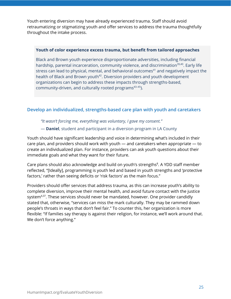Youth entering diversion may have already experienced trauma. Staff should avoid retraumatizing or stigmatizing youth and offer services to address the trauma thoughtfully throughout the intake process.

#### **Youth of color experience excess trauma, but benefit from tailored approaches**

Black and Brown youth experience disproportionate adversities, including financial hardship, parental incarceration, community violence, and discrimination<sup>[39,40](https://www.zotero.org/google-docs/?OZsu7J)</sup>. Early life stress can lead to physical, mental, and behavioral outcomes [41](https://www.zotero.org/google-docs/?1oNsq4) and negatively impact the health of Black and Brown youth<sup>[42](https://www.zotero.org/google-docs/?y6fq5y)</sup>. Diversion providers and youth development organizations can begin to address these impacts through strengths-based, community-driven, and culturally rooted programs [43–45](https://www.zotero.org/google-docs/?s3QwKd) ).

#### **Develop an individualized, strengths-based care plan with youth and caretakers**

*"It wasn't forcing me, everything was voluntary, I gave my consent."*

#### — **Daniel**, student and participant in a diversion program in LA County

Youth should have significant leadership and voice in determining what's included in their care plan, and providers should work with youth — and caretakers when appropriate — to create an individualized plan. For instance, providers can ask youth questions about their immediate goals and what they want for their future.

Care plans should also acknowledge and build on youth's strengths [8](https://www.zotero.org/google-docs/?JQBGti) . A YDD staff member reflected, "[Ideally], programming is youth led and based in youth strengths and 'protective factors,' rather than seeing deficits or 'risk factors' as the main focus."

Providers should offer services that address trauma, as this can increase youth's ability to complete diversion, improve their mental health, and avoid future contact with the justice system<sup>[4,37](https://www.zotero.org/google-docs/?CNHCr1)</sup>. These services should never be mandated, however. One provider candidly stated that, otherwise, "services can miss the mark culturally. They may be rammed down people's throats in ways that don't feel fair." To counter this, her organization is more flexible: "If families say therapy is against their religion, for instance, we'll work around that. We don't force anything."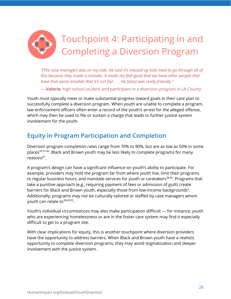<span id="page-26-0"></span>

*"[The case manager] was on my side. He said it's messed up kids have to go through all of this because they made a mistake. It made me feel good that we have other people that have that same mindset that it's not fair . . . He [also] was really friendly."*

— **Valerie**, high school student and participant in a diversion program in LA County

Youth must typically meet or make substantial progress toward goals in their care plan to successfully complete a diversion program. When youth are unable to complete a program, law enforcement officers often enter a record of the youth's arrest for the alleged offense, which may then be used to file or sustain a charge that leads to further justice system involvement for the youth.

## <span id="page-26-1"></span>**Equity in Program Participation and Completion**

Diversion program completion rates range from 70% to 90%, but are as low as 50% in some places<sup>[34,37,46](https://www.zotero.org/google-docs/?dQuN2D)</sup>. Black and Brown youth may be less likely to complete programs for many reasons [47](https://www.zotero.org/google-docs/?TadbW3) .

A program's design can have a significant influence on youth's ability to participate. For example, providers may hold the program far from where youth live, limit their programs to regular business hours, and mandate services for youth or caretakers<sup>[38,48](https://www.zotero.org/google-docs/?Iwj3xI)</sup>. Programs that take a punitive approach (e.g., requiring payment of fees or admission of guilt) create barriers for Black and Brown youth, especially those from low-income backgrounds<sup>[4](https://www.zotero.org/google-docs/?0fWX5i)</sup>. Additionally, programs may not be culturally tailored or staffed by case managers whom youth can relate to<sup>[38,49,50](https://www.zotero.org/google-docs/?PGsblY)</sup>.

Youth's individual circumstances may also make participation difficult — for instance, youth who are experiencing homelessness or are in the foster care system may find it especially difficult to get to a program site.

With clear implications for equity, this is another touchpoint where diversion providers have the opportunity to address barriers. When Black and Brown youth have a realistic opportunity to complete diversion programs, they may avoid stigmatization and deeper involvement with the justice system.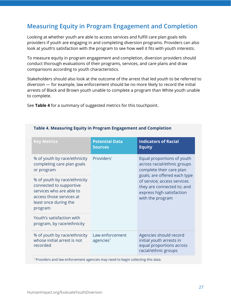## <span id="page-27-0"></span>**Measuring Equity in Program Engagement and Completion**

Looking at whether youth are able to access services and fulfill care plan goals tells providers if youth are engaging in and completing diversion programs. Providers can also look at youth's satisfaction with the program to see how well it fits with youth interests.

To measure equity in program engagement and completion, diversion providers should conduct thorough evaluations of their programs, services, and care plans and draw comparisons according to youth characteristics.

Stakeholders should also look at the outcome of the arrest that led youth to be referred to diversion — for example, law enforcement should be no more likely to record the initial arrests of Black and Brown youth unable to complete a program than White youth unable to complete.

See **Table 4** for a summary of suggested metrics for this touchpoint.

| <b>Key Metrics</b>                                                                                                                                  | <b>Potential Data</b><br><b>Sources</b>                                                                         | <b>Indicators of Racial</b><br><b>Equity</b>                                                                                               |
|-----------------------------------------------------------------------------------------------------------------------------------------------------|-----------------------------------------------------------------------------------------------------------------|--------------------------------------------------------------------------------------------------------------------------------------------|
| % of youth by race/ethnicity<br>completing care plan goals<br>or program                                                                            | Providers <sup>1</sup><br>Equal proportions of youth<br>across racial/ethnic groups<br>complete their care plan |                                                                                                                                            |
| % of youth by race/ethnicity<br>connected to supportive<br>services who are able to<br>access those services at<br>least once during the<br>program |                                                                                                                 | goals; are offered each type<br>of service; access services<br>they are connected to; and<br>express high satisfaction<br>with the program |
| Youth's satisfaction with<br>program, by race/ethnicity                                                                                             |                                                                                                                 |                                                                                                                                            |
| % of youth by race/ethnicity<br>whose initial arrest is not<br>recorded                                                                             | Law enforcement<br>agencies <sup>1</sup>                                                                        | Agencies should record<br>initial youth arrests in<br>equal proportions across<br>racial/ethnic groups                                     |

#### **Table 4. Measuring Equity in Program Engagement and Completion**

<sup>1</sup> Providers and law enforcement agencies may need to begin collecting this data.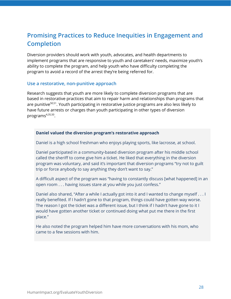## <span id="page-28-0"></span>**Promising Practices to Reduce Inequities in Engagement and Completion**

Diversion providers should work with youth, advocates, and health departments to implement programs that are responsive to youth and caretakers' needs, maximize youth's ability to complete the program, and help youth who have difficulty completing the program to avoid a record of the arrest they're being referred for.

#### **Use a restorative, non-punitive approach**

Research suggests that youth are more likely to complete diversion programs that are based in restorative practices that aim to repair harm and relationships than programs that are punitive<sup>[50,51](https://www.zotero.org/google-docs/?O5DHJS)</sup>. Youth participating in restorative justice programs are also less likely to have future arrests or charges than youth participating in other types of diversion programs [4,35,50](https://www.zotero.org/google-docs/?mh8pEX) .

#### **Daniel valued the diversion program's restorative approach**

Daniel is a high school freshman who enjoys playing sports, like lacrosse, at school.

Daniel participated in a community-based diversion program after his middle school called the sheriff to come give him a ticket. He liked that everything in the diversion program was voluntary, and said it's important that diversion programs "try not to guilt trip or force anybody to say anything they don't want to say."

A difficult aspect of the program was "having to constantly discuss [what happened] in an open room . . . having issues stare at you while you just confess."

Daniel also shared, "After a while I actually got into it and I wanted to change myself . . . I really benefited. If I hadn't gone to that program, things could have gotten way worse. The reason I got the ticket was a different issue, but I think if I hadn't have gone to it I would have gotten another ticket or continued doing what put me there in the first place."

He also noted the program helped him have more conversations with his mom, who came to a few sessions with him.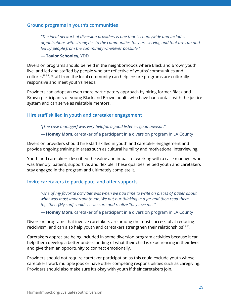#### **Ground programs in youth's communities**

*"The ideal network of diversion providers is one that is countywide and includes organizations with strong ties to the communities they are serving and that are run and led by people from the community whenever possible."*

#### — **Taylor Schooley**, YDD

Diversion programs should be held in the neighborhoods where Black and Brown youth live, and led and staffed by people who are reflective of youths' communities and cultures [38,52](https://www.zotero.org/google-docs/?8Jb3Mz) . Staff from the local community can help ensure programs are culturally responsive and meet youth's needs.

Providers can adopt an even more participatory approach by hiring former Black and Brown participants or young Black and Brown adults who have had contact with the justice system and can serve as relatable mentors.

#### **Hire staff skilled in youth and caretaker engagement**

*"[The case manager] was very helpful, a good listener, good advisor."*

— **Homey Mom**, caretaker of a participant in a diversion program in LA County

Diversion providers should hire staff skilled in youth and caretaker engagement and provide ongoing training in areas such as cultural humility and motivational interviewing.

Youth and caretakers described the value and impact of working with a case manager who was friendly, patient, supportive, and flexible. These qualities helped youth and caretakers stay engaged in the program and ultimately complete it.

#### **Invite caretakers to participate, and offer supports**

*"One of my favorite activities was when we had time to write on pieces of paper about what was most important to me. We put our thinking in a jar and then read them together. [My son] could see we care and realize 'they love me.'"*

— **Homey Mom**, caretaker of a participant in a diversion program in LA County

Diversion programs that involve caretakers are among the most successful at reducing recidivism, and can also help youth and caretakers strengthen their relationships<sup>[35,53](https://www.zotero.org/google-docs/?tQLg0H)</sup>.

Caretakers appreciate being included in some diversion program activities because it can help them develop a better understanding of what their child is experiencing in their lives and give them an opportunity to connect emotionally.

Providers should not require caretaker participation as this could exclude youth whose caretakers work multiple jobs or have other competing responsibilities such as caregiving. Providers should also make sure it's okay with youth if their caretakers join.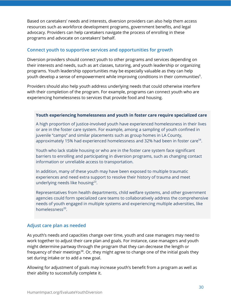Based on caretakers' needs and interests, diversion providers can also help them access resources such as workforce development programs, government benefits, and legal advocacy. Providers can help caretakers navigate the process of enrolling in these programs and advocate on caretakers' behalf.

#### **Connect youth to supportive services and opportunities for growth**

Diversion providers should connect youth to other programs and services depending on their interests and needs, such as art classes, tutoring, and youth leadership or organizing programs. Youth leadership opportunities may be especially valuable as they can help youth develop a sense of empowerment while improving conditions in their communities $^6\!$  $^6\!$  $^6\!$ .

Providers should also help youth address underlying needs that could otherwise interfere with their completion of the program. For example, programs can connect youth who are experiencing homelessness to services that provide food and housing.

#### **Youth experiencing homelessness and youth in foster care require specialized care**

A high proportion of justice-involved youth have experienced homelessness in their lives or are in the foster care system. For example, among a sampling of youth confined in juvenile "camps" and similar placements such as group homes in LA County, approximately 15% had experienced homelessness and 32% had been in foster care<sup>[54](https://www.zotero.org/google-docs/?q8sOIz)</sup>.

Youth who lack stable housing or who are in the foster care system face significant barriers to enrolling and participating in diversion programs, such as changing contact information or unreliable access to transportation.

In addition, many of these youth may have been exposed to multiple traumatic experiences and need extra support to resolve their history of trauma and meet underlying needs like housing<sup>[23](https://www.zotero.org/google-docs/?VwU3bB)</sup>.

Representatives from health departments, child welfare systems, and other government agencies could form specialized care teams to collaboratively address the comprehensive needs of youth engaged in multiple systems and experiencing multiple adversities, like homelessness<sup>[20](https://www.zotero.org/google-docs/?HSXUjB)</sup>.

#### **Adjust care plan as needed**

As youth's needs and capacities change over time, youth and case managers may need to work together to adjust their care plan and goals. For instance, case managers and youth might determine partway through the program that they can decrease the length or frequency of their meetings<sup>[38](https://www.zotero.org/google-docs/?nKnERg)</sup>. Or, they might agree to change one of the initial goals they set during intake or to add a new goal.

Allowing for adjustment of goals may increase youth's benefit from a program as well as their ability to successfully complete it.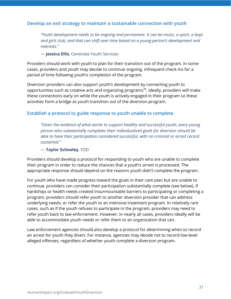#### **Develop an exit strategy to maintain a sustainable connection with youth**

*"Youth development needs to be ongoing and permanent. It can be music, a sport, a boys and girls club, and that can shift over time based on a young person's development and interests."*

#### — **Jessica Ellis**, Centinela Youth Services

Providers should work with youth to plan for their transition out of the program. In some cases, providers and youth may decide to continue ongoing, infrequent check-ins for a period of time following youth's completion of the program.

Diversion providers can also support youth's development by connecting youth to opportunities such as creative arts and organizing programs<sup>[38](https://www.zotero.org/google-docs/?20b7UJ)</sup>. Ideally, providers will make these connections early on while the youth is actively engaged in their program so these activities form a bridge as youth transition out of the diversion program.

#### **Establish a protocol to guide response to youth unable to complete**

*"Given the evidence of what works to support healthy and successful youth, every young person who substantially completes their individualized goals for diversion should be able to have their participation considered successful, with no criminal or arrest record sustained."*

#### — **Taylor Schooley**, YDD

Providers should develop a protocol for responding to youth who are unable to complete their program in order to reduce the chances that a youth's arrest is processed. The appropriate response should depend on the reasons youth didn't complete the program.

For youth who have made progress toward the goals in their care plan but are unable to continue, providers can consider their participation substantially complete (see below). If hardships or health needs created insurmountable barriers to participating or completing a program, providers should refer youth to another diversion provider that can address underlying needs, or refer the youth to an intensive treatment program. In relatively rare cases, such as if the youth refuses to participate in the program, providers may need to refer youth back to law enforcement. However, in nearly all cases, providers ideally will be able to accommodate youth needs or refer them to an organization that can.

Law enforcement agencies should also develop a protocol for determining when to record an arrest for youth they divert. For instance, agencies may decide not to record low-level alleged offenses, regardless of whether youth complete a diversion program.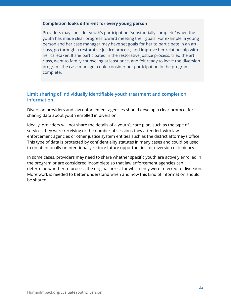#### **Completion looks different for every young person**

Providers may consider youth's participation "substantially complete" when the youth has made clear progress toward meeting their goals. For example, a young person and her case manager may have set goals for her to participate in an art class, go through a restorative justice process, and improve her relationship with her caretaker. If she participated in the restorative justice process, tried the art class, went to family counseling at least once, and felt ready to leave the diversion program, the case manager could consider her participation in the program complete.

#### **Limit sharing of individually identifiable youth treatment and completion information**

Diversion providers and law enforcement agencies should develop a clear protocol for sharing data about youth enrolled in diversion.

Ideally, providers will not share the details of a youth's care plan, such as the type of services they were receiving or the number of sessions they attended, with law enforcement agencies or other justice system entities such as the district attorney's office. This type of data is protected by confidentiality statutes in many cases and could be used to unintentionally or intentionally reduce future opportunities for diversion or leniency.

In some cases, providers may need to share whether specific youth are actively enrolled in the program or are considered incomplete so that law enforcement agencies can determine whether to process the original arrest for which they were referred to diversion. More work is needed to better understand when and how this kind of information should be shared.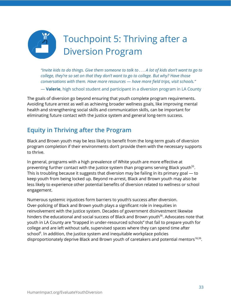<span id="page-33-0"></span>

"Invite kids to do things. Give them someone to talk to . . . A lot of kids don't want to go to *college, they're so set on that they don't want to go to college. But why? Have those conversations with them. Have more resources — have more field trips, visit schools."*

— **Valerie**, high school student and participant in a diversion program in LA County

The goals of diversion go beyond ensuring that youth complete program requirements. Avoiding future arrest as well as achieving broader wellness goals, like improving mental health and strengthening social skills and communication skills, can be important for eliminating future contact with the justice system and general long-term success.

## <span id="page-33-1"></span>**Equity in Thriving after the Program**

Black and Brown youth may be less likely to benefit from the long-term goals of diversion program completion if their environments don't provide them with the necessary supports to thrive.

In general, programs with a high prevalence of White youth are more effective at preventing further contact with the justice system than programs serving Black youth<sup>[55](https://www.zotero.org/google-docs/?IFvsDh)</sup>. This is troubling because it suggests that diversion may be failing in its primary goal — to keep youth from being locked up. Beyond re-arrest, Black and Brown youth may also be less likely to experience other potential benefits of diversion related to wellness or school engagement.

Numerous systemic injustices form barriers to youth's success after diversion. Over-policing of Black and Brown youth plays a significant role in inequities in reinvolvement with the justice system. Decades of government disinvestment likewise hinders the educational and social success of Black and Brown youth [56](https://www.zotero.org/google-docs/?oGvEe7) . Advocates note that youth in LA County are "trapped in under-resourced schools" that fail to prepare youth for college and are left without safe, supervised spaces where they can spend time after school [6](https://www.zotero.org/google-docs/?BsPtIf) . In addition, the justice system and inequitable workplace policies disproportionately deprive Black and Brown youth of caretakers and potential mentors<sup>[18,39](https://www.zotero.org/google-docs/?DeDyhc)</sup>.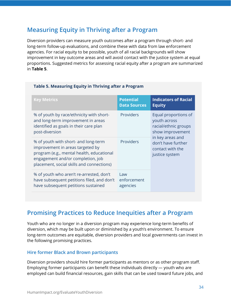### <span id="page-34-0"></span>**Measuring Equity in Thriving after a Program**

Diversion providers can measure youth outcomes after a program through short- and long-term follow-up evaluations, and combine these with data from law enforcement agencies. For racial equity to be possible, youth of all racial backgrounds will show improvement in key outcome areas and will avoid contact with the justice system at equal proportions. Suggested metrics for assessing racial equity after a program are summarized in **Table 5**.

| <b>Key Metrics</b>                                                                                                                                                                                      | <b>Potential</b><br><b>Data Sources</b> | <b>Indicators of Racial</b><br><b>Equity</b>                                     |
|---------------------------------------------------------------------------------------------------------------------------------------------------------------------------------------------------------|-----------------------------------------|----------------------------------------------------------------------------------|
| % of youth by race/ethnicity with short-<br>and long-term improvement in areas<br>identified as goals in their care plan<br>post-diversion                                                              | Providers                               | Equal proportions of<br>youth across<br>racial/ethnic groups<br>show improvement |
| % of youth with short- and long-term<br>improvement in areas targeted by<br>program (e.g., mental health, educational<br>engagement and/or completion, job<br>placement, social skills and connections) | Providers                               | in key areas and<br>don't have further<br>contact with the<br>justice system     |
| % of youth who aren't re-arrested, don't<br>have subsequent petitions filed, and don't<br>have subsequent petitions sustained                                                                           | Law<br>enforcement<br>agencies          |                                                                                  |

#### **Table 5. Measuring Equity in Thriving after a Program**

### <span id="page-34-1"></span>**Promising Practices to Reduce Inequities after a Program**

Youth who are no longer in a diversion program may experience long-term benefits of diversion, which may be built upon or diminished by a youth's environment. To ensure long-term outcomes are equitable, diversion providers and local governments can invest in the following promising practices.

#### **Hire former Black and Brown participants**

Diversion providers should hire former participants as mentors or as other program staff. Employing former participants can benefit these individuals directly — youth who are employed can build financial resources, gain skills that can be used toward future jobs, and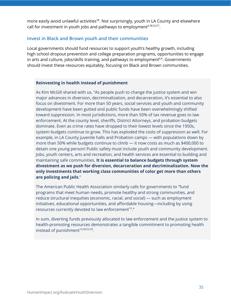more easily avoid unlawful activities<sup>[38](https://www.zotero.org/google-docs/?sda8O6)</sup>. Not surprisingly, youth in LA County and elsewhere call for investment in youth jobs and pathways to employment $^{6,38,52,57}$  $^{6,38,52,57}$  $^{6,38,52,57}$ .

#### **Invest in Black and Brown youth and their communities**

Local governments should fund resources to support youth's healthy growth, including high school dropout prevention and college preparation programs, opportunities to engage in arts and culture, jobs/skills training, and pathways to employment $^{6,8}$  $^{6,8}$  $^{6,8}$ . Governments should invest these resources equitably, focusing on Black and Brown communities.

#### **Reinvesting in health instead of punishment**

As Kim McGill shared with us, "As people push to change the justice system and win major advances in diversion, decriminalization, and decarceration, it's essential to also focus on divestment. For more than 50 years, social services and youth and community development have been gutted and public funds have been overwhelmingly shifted toward suppression. In most jurisdictions, more than 50% of tax revenue goes to law enforcement. At the county level, sheriffs, District Attorneys, and probation budgets dominate. Even as crime rates have dropped to their lowest levels since the 1950s, system budgets continue to grow. This has exploded the costs of suppression as well. For example, in LA County juvenile halls and Probation camps — with populations down by more than 50% while budgets continue to climb — it now costs as much as \$400,000 to detain one young person! Public safety must include youth and community development. Jobs, youth centers, arts and recreation, and health services are essential to building and maintaining safe communities. **It is essential to balance budgets through system divestment as we push for diversion, decarceration and decriminalization. Now the only investments that working class communities of color get more than others are policing and jails**."

The American Public Health Association similarly calls for governments to "fund programs that meet human needs, promote healthy and strong communities, and reduce structural inequities (economic, racial, and social) — such as employment initiatives, educational opportunities, and affordable housing—including by using resources currently devoted to law enforcement<sup>14</sup>."

In sum, diverting funds previously allocated to law enforcement and the justice system to health-promoting resources demonstrates a tangible commitment to promoting health instead of punishment<sup>[14,38,52,58](https://www.zotero.org/google-docs/?607cgC)</sup>.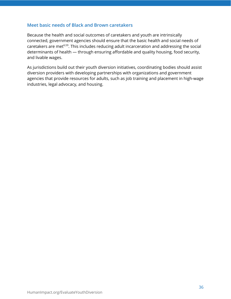#### **Meet basic needs of Black and Brown caretakers**

Because the health and social outcomes of caretakers and youth are intrinsically connected, government agencies should ensure that the basic health and social needs of caretakers are met<sup>[6,59](https://www.zotero.org/google-docs/?4kgetP)</sup>. This includes reducing adult incarceration and addressing the social determinants of health — through ensuring affordable and quality housing, food security, and livable wages.

As jurisdictions build out their youth diversion initiatives, coordinating bodies should assist diversion providers with developing partnerships with organizations and government agencies that provide resources for adults, such as job training and placement in high-wage industries, legal advocacy, and housing.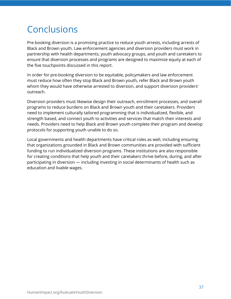## <span id="page-37-0"></span>Conclusions

Pre-booking diversion is a promising practice to reduce youth arrests, including arrests of Black and Brown youth. Law enforcement agencies and diversion providers must work in partnership with health departments, youth advocacy groups, and youth and caretakers to ensure that diversion processes and programs are designed to maximize equity at each of the five touchpoints discussed in this report.

In order for pre-booking diversion to be equitable, policymakers and law enforcement must reduce how often they stop Black and Brown youth, refer Black and Brown youth whom they would have otherwise arrested to diversion, and support diversion providers' outreach.

Diversion providers must likewise design their outreach, enrollment processes, and overall programs to reduce burdens on Black and Brown youth and their caretakers. Providers need to implement culturally tailored programming that is individualized, flexible, and strength based, and connect youth to activities and services that match their interests and needs. Providers need to help Black and Brown youth complete their program and develop protocols for supporting youth unable to do so.

Local governments and health departments have critical roles as well, including ensuring that organizations grounded in Black and Brown communities are provided with sufficient funding to run individualized diversion programs. These institutions are also responsible for creating conditions that help youth and their caretakers thrive before, during, and after participating in diversion — including investing in social determinants of health such as education and livable wages.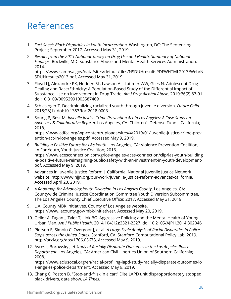## <span id="page-38-0"></span>References

- [1.](https://www.zotero.org/google-docs/?o4H8ki) *Fact Sheet: Black Disparities in Youth [Incarceration](https://www.zotero.org/google-docs/?o4H8ki)*. [Washington,](https://www.zotero.org/google-docs/?o4H8ki) DC: The Sentencing Project; [September](https://www.zotero.org/google-docs/?o4H8ki) 2017. [Accessed](https://www.zotero.org/google-docs/?o4H8ki) May 31, 2019.
- [2.](https://www.zotero.org/google-docs/?o4H8ki) *Results from the 2013 National Survey on Drug Use and Health: [Summary](https://www.zotero.org/google-docs/?o4H8ki) of National [Findings](https://www.zotero.org/google-docs/?o4H8ki)*. Rockville, MD: Substance Abuse and Mental Health Services [Administration;](https://www.zotero.org/google-docs/?o4H8ki) [2014.](https://www.zotero.org/google-docs/?o4H8ki)

https://www.samhsa.gov/data/sites/default/files/NSDUHresultsPDFWHTML2013/Web/N SDUHresults2013.pdf[.](https://www.zotero.org/google-docs/?o4H8ki) [Accessed](https://www.zotero.org/google-docs/?o4H8ki) May 31, 2019.

- [3.](https://www.zotero.org/google-docs/?o4H8ki) Floyd LJ, Alexandre PK, Hedden SL, Lawson AL, Latimer WW, Giles N. [Adolescent](https://www.zotero.org/google-docs/?o4H8ki) Drug Dealing and Race/Ethnicity: A [Population-Based](https://www.zotero.org/google-docs/?o4H8ki) Study of the Differential Impact of Substance Use on [Involvement](https://www.zotero.org/google-docs/?o4H8ki) in Drug Trade. *Am J Drug [Alcohol](https://www.zotero.org/google-docs/?o4H8ki) Abuse*. [2010;36\(2\):87-91.](https://www.zotero.org/google-docs/?o4H8ki) [doi:10.3109/00952991003587469](https://www.zotero.org/google-docs/?o4H8ki)
- [4.](https://www.zotero.org/google-docs/?o4H8ki) Schlesinger T. [Decriminalizing](https://www.zotero.org/google-docs/?o4H8ki) racialized youth through juvenile diversion. *[Future](https://www.zotero.org/google-docs/?o4H8ki) Child*[.](https://www.zotero.org/google-docs/?o4H8ki) 2018;28(1). [doi:10.1353/foc.2018.0003](https://www.zotero.org/google-docs/?o4H8ki)
- [5.](https://www.zotero.org/google-docs/?o4H8ki) [Soung](https://www.zotero.org/google-docs/?o4H8ki) P, Best M. *Juvenile Justice Crime [Prevention](https://www.zotero.org/google-docs/?o4H8ki) Act in Los Angeles: A Case Study on Advocacy & [Collaborative](https://www.zotero.org/google-docs/?o4H8ki) Reform*. Los Angeles, CA: Children's Defense Fund – [California;](https://www.zotero.org/google-docs/?o4H8ki) [2018.](https://www.zotero.org/google-docs/?o4H8ki)

[https://www.cdfca.org/wp-content/uploads/sites/4/2019/01/juvenile-justice-crime-prev](https://www.zotero.org/google-docs/?o4H8ki) [ention-act-in-los-angeles.pdf.](https://www.zotero.org/google-docs/?o4H8ki) Accessed May 9, 2019.

- [6.](https://www.zotero.org/google-docs/?o4H8ki) *[Building](https://www.zotero.org/google-docs/?o4H8ki) a Positive Future for LA's Youth*. Los Angeles, CA: Violence [Prevention](https://www.zotero.org/google-docs/?o4H8ki) Coalition, LA For Youth, Youth Justice [Coalition;](https://www.zotero.org/google-docs/?o4H8ki) 2016. [https://www.acesconnection.com/g/los-angeles-aces-connection/clip/las-youth-building](https://www.zotero.org/google-docs/?o4H8ki) [-a-positive-future-reimagining-public-safety-with-an-investment-in-youth-development](https://www.zotero.org/google-docs/?o4H8ki)pdf. [Accessed](https://www.zotero.org/google-docs/?o4H8ki) May 9, 2019.
- [7.](https://www.zotero.org/google-docs/?o4H8ki) Advances in Juvenile Justice Reform | [California.](https://www.zotero.org/google-docs/?o4H8ki) National Juvenile Justice Network website. [http://www.njjn.org/our-work/juvenile-justice-reform-advances-california.](https://www.zotero.org/google-docs/?o4H8ki) [Accessed](https://www.zotero.org/google-docs/?o4H8ki) April 23, 2019.
- [8.](https://www.zotero.org/google-docs/?o4H8ki) *A Roadmap for [Advancing](https://www.zotero.org/google-docs/?o4H8ki) Youth Diversion in Los Angeles County*. Los [Angeles,](https://www.zotero.org/google-docs/?o4H8ki) CA: Countywide Criminal Justice Coordination Committee Youth Diversion [Subcommittee,](https://www.zotero.org/google-docs/?o4H8ki) The Los Angeles County Chief [Executive](https://www.zotero.org/google-docs/?o4H8ki) Office; 2017. Accessed May 31, 2019.
- [9.](https://www.zotero.org/google-docs/?o4H8ki) L.A. County MBK [Initiatives.](https://www.zotero.org/google-docs/?o4H8ki) County of Los Angeles website. [https://www.lacounty.gov/mbk-initiatives/.](https://www.zotero.org/google-docs/?o4H8ki) Accessed May 20, 2019.
- [10.](https://www.zotero.org/google-docs/?o4H8ki) Geller A, Fagan J, Tyler T, Link BG. [Aggressive](https://www.zotero.org/google-docs/?o4H8ki) Policing and the Mental Health of Young [Urban](https://www.zotero.org/google-docs/?o4H8ki) Men. *Am J Public [Health](https://www.zotero.org/google-docs/?o4H8ki)*. 2014;104(12):2321-2327. [doi:10.2105/AJPH.2014.302046](https://www.zotero.org/google-docs/?o4H8ki)
- [11.](https://www.zotero.org/google-docs/?o4H8ki) Pierson E, Simoiu C, [Overgoor](https://www.zotero.org/google-docs/?o4H8ki) J, et al. *A [Large-Scale](https://www.zotero.org/google-docs/?o4H8ki) Analysis of Racial Disparities in Police Stops across the [United](https://www.zotero.org/google-docs/?o4H8ki) States*. Stanford, CA: Stanford [Computational](https://www.zotero.org/google-docs/?o4H8ki) Policy Lab; 2019. [http://arxiv.org/abs/1706.05678.](https://www.zotero.org/google-docs/?o4H8ki) Accessed May 9, 2019.
- [12.](https://www.zotero.org/google-docs/?o4H8ki) Ayres I, [Borowsky](https://www.zotero.org/google-docs/?o4H8ki) J. *A Study of Racially Disparate [Outcomes](https://www.zotero.org/google-docs/?o4H8ki) in the Los Angeles Police [Department](https://www.zotero.org/google-docs/?o4H8ki)*. Los Angeles, CA: American Civil Liberties Union of Southern [California;](https://www.zotero.org/google-docs/?o4H8ki) [2008.](https://www.zotero.org/google-docs/?o4H8ki)

[https://www.aclusocal.org/en/racial-profiling-lapd-study-racially-disparate-outcomes-lo](https://www.zotero.org/google-docs/?o4H8ki) [s-angeles-police-department.](https://www.zotero.org/google-docs/?o4H8ki) Accessed May 9, 2019.

[13.](https://www.zotero.org/google-docs/?o4H8ki) Chang C, Poston B. "Stop-and-frisk in a car:" Elite LAPD unit [disproportionately](https://www.zotero.org/google-docs/?o4H8ki) stopped black [drivers,](https://www.zotero.org/google-docs/?o4H8ki) data show. *LA [Times.](https://www.zotero.org/google-docs/?o4H8ki)*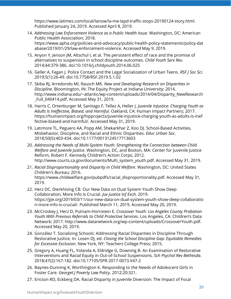[https://www.latimes.com/local/lanow/la-me-lapd-traffic-stops-20190124-story.html.](https://www.zotero.org/google-docs/?o4H8ki) [Published](https://www.zotero.org/google-docs/?o4H8ki) January 24, 2019. Accessed April 8, 2019.

- [14.](https://www.zotero.org/google-docs/?o4H8ki) *Addressing Law [Enforcement](https://www.zotero.org/google-docs/?o4H8ki) Violence as a Public Health Issue.* [Washington,](https://www.zotero.org/google-docs/?o4H8ki) DC: American Public Health [Association;](https://www.zotero.org/google-docs/?o4H8ki) 2018. [https://www.apha.org/policies-and-advocacy/public-health-policy-statements/policy-dat](https://www.apha.org/policies-and-advocacy/public-health-policy-statements/policy-database/2019/01/29/law-enforcement-violence) [abase/2019/01/29/law-enforcement-violence](https://www.apha.org/policies-and-advocacy/public-health-policy-statements/policy-database/2019/01/29/law-enforcement-violence)[.](https://www.zotero.org/google-docs/?o4H8ki) [Accessed](https://www.zotero.org/google-docs/?o4H8ki) May 9, 2019.
- [15.](https://www.zotero.org/google-docs/?o4H8ki) Anyon Y, Jenson JM, Altschul I, et al. The [persistent](https://www.zotero.org/google-docs/?o4H8ki) effect of race and the promise of [alternatives](https://www.zotero.org/google-docs/?o4H8ki) to suspension in school discipline outcomes. *Child [Youth](https://www.zotero.org/google-docs/?o4H8ki) Serv Rev*[.](https://www.zotero.org/google-docs/?o4H8ki) 2014;44:379-386. [doi:10.1016/j.childyouth.2014.06.025](https://www.zotero.org/google-docs/?o4H8ki)
- [16.](https://www.zotero.org/google-docs/?o4H8ki) Geller A, Fagan J. Police Contact and the Legal [Socialization](https://www.zotero.org/google-docs/?o4H8ki) of Urban Teens. *RSF J [Soc](https://www.zotero.org/google-docs/?o4H8ki) Sci*[.](https://www.zotero.org/google-docs/?o4H8ki) 2019;5(1):26-49. [doi:10.7758/RSF.2019.5.1.02](https://www.zotero.org/google-docs/?o4H8ki)
- [17.](https://www.zotero.org/google-docs/?o4H8ki) Skiba RJ, [Arredondo](https://www.zotero.org/google-docs/?o4H8ki) MI, Rausch MK. *New and [Developing](https://www.zotero.org/google-docs/?o4H8ki) Research on Disparities in [Discipline](https://www.zotero.org/google-docs/?o4H8ki)*. [Bloomington,](https://www.zotero.org/google-docs/?o4H8ki) IN: The Equity Project at Indiana University; 2014. [http://www.indiana.edu/~atlantic/wp-content/uploads/2014/04/Disparity\\_NewResearch](https://www.zotero.org/google-docs/?o4H8ki) [\\_Full\\_040414.pdf.](https://www.zotero.org/google-docs/?o4H8ki) Accessed May 31, 2019.
- [18.](https://www.zotero.org/google-docs/?o4H8ki) Harris C, [Ortenburger](https://www.zotero.org/google-docs/?o4H8ki) M, Santiago F, Tellez A, Heller J. *Juvenile InJustice: [Charging](https://www.zotero.org/google-docs/?o4H8ki) Youth as Adults Is [Ineffective,](https://www.zotero.org/google-docs/?o4H8ki) Biased, and Harmful*. Oakland, CA: Human Impact [Partners;](https://www.zotero.org/google-docs/?o4H8ki) 2017. [https://humanimpact.org/hipprojects/juvenile-injustice-charging-youth-as-adults-is-inef](https://humanimpact.org/hipprojects/juvenile-injustice-charging-youth-as-adults-is-ineffective-biased-and-harmful/) [fective-biased-and-harmful/.](https://humanimpact.org/hipprojects/juvenile-injustice-charging-youth-as-adults-is-ineffective-biased-and-harmful/) [Accessed](https://www.zotero.org/google-docs/?o4H8ki) May 31, 2019.
- [19.](https://www.zotero.org/google-docs/?o4H8ki) Latimore TL, Peguero AA, Popp AM, Shekarkhar Z, Koo DJ. [School-Based](https://www.zotero.org/google-docs/?o4H8ki) Activities, [Misbehavior,](https://www.zotero.org/google-docs/?o4H8ki) Discipline, and Racial and Ethnic Disparities. *Educ [Urban](https://www.zotero.org/google-docs/?o4H8ki) Soc*[.](https://www.zotero.org/google-docs/?o4H8ki) 2018;50(5):403-434. [doi:10.1177/0013124517713603](https://www.zotero.org/google-docs/?o4H8ki)
- [20.](https://www.zotero.org/google-docs/?o4H8ki) *Addressing the Needs of Multi-System Youth: [Strengthening](https://www.zotero.org/google-docs/?o4H8ki) the Connection between Child Welfare and [Juvenile](https://www.zotero.org/google-docs/?o4H8ki) Justice*. [Washington,](https://www.zotero.org/google-docs/?o4H8ki) DC, and Boston, MA: Center for Juvenile Justice Reform, Robert F. Kennedy [Children's](https://www.zotero.org/google-docs/?o4H8ki) Action Corps; 2012. [http://www.courts.ca.gov/documents/Multi\\_system\\_youth.pdf](http://www.courts.ca.gov/documents/Multi_system_youth.pdf)[.](https://www.zotero.org/google-docs/?o4H8ki) [Accessed](https://www.zotero.org/google-docs/?o4H8ki) May 31, 2019.
- [21.](https://www.zotero.org/google-docs/?o4H8ki) *Racial [Disproportionality](https://www.zotero.org/google-docs/?o4H8ki) and Disparity in Child Welfare*. [Washington,](https://www.zotero.org/google-docs/?o4H8ki) DC: United States [Children's](https://www.zotero.org/google-docs/?o4H8ki) Bureau; 2016. [https://www.childwelfare.gov/pubpdfs/racial\\_disproportionality.pdf](https://www.childwelfare.gov/pubpdfs/racial_disproportionality.pdf)[.](https://www.zotero.org/google-docs/?o4H8ki) [Accessed](https://www.zotero.org/google-docs/?o4H8ki) May 31, [2019.](https://www.zotero.org/google-docs/?o4H8ki)
- [22.](https://www.zotero.org/google-docs/?o4H8ki) Herz DC, [Dierkhising](https://www.zotero.org/google-docs/?o4H8ki) CB. Our New Data on Dual System Youth Show Deep [Collaboration,](https://www.zotero.org/google-docs/?o4H8ki) More Info Is Crucial. *Juv [Justice](https://www.zotero.org/google-docs/?o4H8ki) Inf Exch*. [2019.](https://www.zotero.org/google-docs/?o4H8ki) [https://jjie.org/2019/03/11/our-new-data-on-dual-system-youth-show-deep-collaboratio](https://www.zotero.org/google-docs/?o4H8ki) [n-more-info-is-crucial/.](https://www.zotero.org/google-docs/?o4H8ki) Published March 11, 2019. Accessed May 20, 2019.
- [23.](https://www.zotero.org/google-docs/?o4H8ki) McCroskey J, Herz D, [Putnam-Hornstein](https://www.zotero.org/google-docs/?o4H8ki) E. *Crossover Youth: Los Angeles County [Probation](https://www.zotero.org/google-docs/?o4H8ki) Youth With Previous Referrals to Child [Protective](https://www.zotero.org/google-docs/?o4H8ki) Services*. Los Angeles, CA: [Children's](https://www.zotero.org/google-docs/?o4H8ki) Data [Network;](https://www.zotero.org/google-docs/?o4H8ki) 2017. <http://www.datanetwork.org/wp-content/uploads/CrossoverYouth.pdf>[.](https://www.zotero.org/google-docs/?o4H8ki) [Accessed](https://www.zotero.org/google-docs/?o4H8ki) May 20, 2019.
- [24.](https://www.zotero.org/google-docs/?o4H8ki) González T. Socializing Schools: [Addressing](https://www.zotero.org/google-docs/?o4H8ki) Racial Disparities in Discipline Through [Restorative](https://www.zotero.org/google-docs/?o4H8ki) Justice. In: Losen DJ, ed. *Closing the School [Discipline](https://www.zotero.org/google-docs/?o4H8ki) Gap: Equitable Remedies for Excessive [Exclusion](https://www.zotero.org/google-docs/?o4H8ki)*. New York, NY: [Teachers](https://www.zotero.org/google-docs/?o4H8ki) College Press; 2015.
- [25.](https://www.zotero.org/google-docs/?o4H8ki) Gregory A, Huang FL, Yolanda A, Eldridge G, Downing B. An [Examination](https://www.zotero.org/google-docs/?o4H8ki) of Restorative Interventions and Racial Equity in [Out-of-School](https://www.zotero.org/google-docs/?o4H8ki) Suspensions. *Sch Psychol Rev [Bethesda](https://www.zotero.org/google-docs/?o4H8ki)*[.](https://www.zotero.org/google-docs/?o4H8ki) 2018;47(2):167-182. [doi:10.17105/SPR-2017-0073.V47-2](https://www.zotero.org/google-docs/?o4H8ki)
- [26.](https://www.zotero.org/google-docs/?o4H8ki) [Baynes-Dunning](https://www.zotero.org/google-docs/?o4H8ki) K, Worthington K. Responding to the Needs of Adolescent Girls in [Foster](https://www.zotero.org/google-docs/?o4H8ki) Care. *[Georget](https://www.zotero.org/google-docs/?o4H8ki) J Poverty Law Policy*. [2012;20:321.](https://www.zotero.org/google-docs/?o4H8ki)
- [27.](https://www.zotero.org/google-docs/?o4H8ki) Ericson RD, Eckberg DA. Racial Disparity in Juvenile [Diversion:](https://www.zotero.org/google-docs/?o4H8ki) The Impact of Focal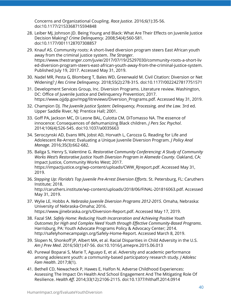Concerns and [Organizational](https://www.zotero.org/google-docs/?o4H8ki) Coupling. *Race [Justice](https://www.zotero.org/google-docs/?o4H8ki)*. [2016;6\(1\):35-56.](https://www.zotero.org/google-docs/?o4H8ki) [doi:10.1177/2153368715594848](https://www.zotero.org/google-docs/?o4H8ki)

- [28.](https://www.zotero.org/google-docs/?o4H8ki) Leiber MJ, [Johnson](https://www.zotero.org/google-docs/?o4H8ki) JD. Being Young and Black: What Are Their Effects on Juvenile Justice [Decision](https://www.zotero.org/google-docs/?o4H8ki) Making? *Crime [Delinquency](https://www.zotero.org/google-docs/?o4H8ki)*. [2008;54\(4\):560-581.](https://www.zotero.org/google-docs/?o4H8ki) [doi:10.1177/0011128707308857](https://www.zotero.org/google-docs/?o4H8ki)
- [29.](https://www.zotero.org/google-docs/?o4H8ki) Knauf AS. [Community](https://www.zotero.org/google-docs/?o4H8ki) roots: A short-lived diversion program steers East African youth away from the [criminal](https://www.zotero.org/google-docs/?o4H8ki) justice system. *The [Stranger](https://www.zotero.org/google-docs/?o4H8ki)*[.](https://www.zotero.org/google-docs/?o4H8ki) [https://www.thestranger.com/juvie/2017/07/19/25297030/community-roots-a-short-liv](https://www.zotero.org/google-docs/?o4H8ki) [ed-diversion-program-steers-east-african-youth-away-from-the-criminal-justice-system.](https://www.zotero.org/google-docs/?o4H8ki) [Published](https://www.zotero.org/google-docs/?o4H8ki) July 19, 2017. [Accessed](https://www.zotero.org/google-docs/?o4H8ki) May 31, 2019.
- [30.](https://www.zotero.org/google-docs/?o4H8ki) Nadel MR, Pesta G, Blomberg T, Bales WD, [Greenwald](https://www.zotero.org/google-docs/?o4H8ki) M. Civil Citation: Diversion or Net [Widening?](https://www.zotero.org/google-docs/?o4H8ki) *J Res Crime [Delinquency](https://www.zotero.org/google-docs/?o4H8ki)*. 2018;55(2):278-315. [doi:10.1177/0022427817751571](https://www.zotero.org/google-docs/?o4H8ki)
- [31.](https://www.zotero.org/google-docs/?o4H8ki) [Development](https://www.zotero.org/google-docs/?o4H8ki) Services Group, Inc. Diversion Programs. Literature review. Washington, DC: Office of Juvenile Justice and [Delinquency](https://www.zotero.org/google-docs/?o4H8ki) Prevention; 2017. [https://www.ojjdp.gov/mpg/litreviews/Diversion\\_Programs.pdf](https://www.ojjdp.gov/mpg/litreviews/Diversion_Programs.pdf)[.](https://www.zotero.org/google-docs/?o4H8ki) [Accessed](https://www.zotero.org/google-docs/?o4H8ki) May 31, 2019.
- [32.](https://www.zotero.org/google-docs/?o4H8ki) [Champion](https://www.zotero.org/google-docs/?o4H8ki) DJ. *The Juvenile Justice System: [Delinquency,](https://www.zotero.org/google-docs/?o4H8ki) Processing, and the Law*. [3rd](https://www.zotero.org/google-docs/?o4H8ki) ed. Upper Saddle River, NJ: [Prentice](https://www.zotero.org/google-docs/?o4H8ki) Hall; 2001.
- [33.](https://www.zotero.org/google-docs/?o4H8ki) Goff PA, Jackson MC, Di Leone BAL, Culotta CM, [DiTomasso](https://www.zotero.org/google-docs/?o4H8ki) NA. The essence of innocence: [Consequences](https://www.zotero.org/google-docs/?o4H8ki) of dehumanizing Black children. *J Pers Soc [Psychol](https://www.zotero.org/google-docs/?o4H8ki)*[.](https://www.zotero.org/google-docs/?o4H8ki) 2014;106(4):526-545. [doi:10.1037/a0035663](https://www.zotero.org/google-docs/?o4H8ki)
- [34.](https://www.zotero.org/google-docs/?o4H8ki) [Seroczynski](https://www.zotero.org/google-docs/?o4H8ki) AD, Evans WN, Jobst AD, Horvath L, Carozza G. Reading for Life and [Adolescent](https://www.zotero.org/google-docs/?o4H8ki) Re-Arrest: Evaluating a Unique Juvenile Diversion Program. *J [Policy](https://www.zotero.org/google-docs/?o4H8ki) Anal [Manage](https://www.zotero.org/google-docs/?o4H8ki)*. [2016;35\(3\):662-682.](https://www.zotero.org/google-docs/?o4H8ki)
- [35.](https://www.zotero.org/google-docs/?o4H8ki) Baliga S, Henry S, [Valentine](https://www.zotero.org/google-docs/?o4H8ki) G. *Restorative Community [Conferencing:](https://www.zotero.org/google-docs/?o4H8ki) A Study of Community Works West's [Restorative](https://www.zotero.org/google-docs/?o4H8ki) Justice Youth Diversion Program in Alameda County*. [Oakland,](https://www.zotero.org/google-docs/?o4H8ki) CA: Impact Justice, [Community](https://www.zotero.org/google-docs/?o4H8ki) Works West; 2017. [https://impactjustice.org/wp-content/uploads/CWW\\_RJreport.pdf](https://impactjustice.org/wp-content/uploads/CWW_RJreport.pdf)[.](https://www.zotero.org/google-docs/?o4H8ki) [Accessed](https://www.zotero.org/google-docs/?o4H8ki) May 31, [2019.](https://www.zotero.org/google-docs/?o4H8ki)
- [36.](https://www.zotero.org/google-docs/?o4H8ki) *Stepping Up: Florida's Top Juvenile [Pre-Arrest](https://www.zotero.org/google-docs/?o4H8ki) Diversion Efforts*. St. [Petersburg,](https://www.zotero.org/google-docs/?o4H8ki) FL: Caruthers [Institute;](https://www.zotero.org/google-docs/?o4H8ki) 2018. <http://caruthers.institute/wp-content/uploads/2018/06/FINAL-201816063.pdf>[.](https://www.zotero.org/google-docs/?o4H8ki) [Accessed](https://www.zotero.org/google-docs/?o4H8ki) May 31, [2019.](https://www.zotero.org/google-docs/?o4H8ki)
- [37.](https://www.zotero.org/google-docs/?o4H8ki) Wylie LE, [Hobbs](https://www.zotero.org/google-docs/?o4H8ki) A. *Nebraska Juvenile Diversion Programs [2012-2015](https://www.zotero.org/google-docs/?o4H8ki)*. Omaha, [Nebraska:](https://www.zotero.org/google-docs/?o4H8ki) University of [Nebraska-Omaha;](https://www.zotero.org/google-docs/?o4H8ki) 2016. [https://www.jjinebraska.org/s/Diversion-Report.pdf.](https://www.zotero.org/google-docs/?o4H8ki) Accessed May 17, 2019.
- [38.](https://www.zotero.org/google-docs/?o4H8ki) [Fazal](https://www.zotero.org/google-docs/?o4H8ki) SM. *Safely Home: Reducing Youth [Incarceration](https://www.zotero.org/google-docs/?o4H8ki) and Achieving Positive Youth Outcomes for High and Complex Need Youth through Effective [Community-Based](https://www.zotero.org/google-docs/?o4H8ki) Programs*[.](https://www.zotero.org/google-docs/?o4H8ki) [Harrisburg,](https://www.zotero.org/google-docs/?o4H8ki) PA: Youth Advocate Programs Policy & Advocacy Center; 2014. [http://safelyhomecampaign.org/Safely-Home-Report.](https://www.zotero.org/google-docs/?o4H8ki) Accessed March 8, 2019.
- [39.](https://www.zotero.org/google-docs/?o4H8ki) Slopen N, Shonkoff JP, Albert MA, et al. Racial [Disparities](https://www.zotero.org/google-docs/?o4H8ki) in Child Adversity in the U.S. *Am J [Prev](https://www.zotero.org/google-docs/?o4H8ki) Med*. 2016;50(1):47-56. [doi:10.1016/j.amepre.2015.06.013](https://www.zotero.org/google-docs/?o4H8ki)
- [40.](https://www.zotero.org/google-docs/?o4H8ki) Purewal Boparai S, Marie T, Aguayo E, et al. Adversity and academic [performance](https://www.zotero.org/google-docs/?o4H8ki) among adolescent youth: a [community-based](https://www.zotero.org/google-docs/?o4H8ki) participatory research study. *J [Adolesc](https://www.zotero.org/google-docs/?o4H8ki) Fam [Health](https://www.zotero.org/google-docs/?o4H8ki)*. [2017;8\(1\).](https://www.zotero.org/google-docs/?o4H8ki)
- [41.](https://www.zotero.org/google-docs/?o4H8ki) Bethell CD, Newacheck P, Hawes E, Halfon N. Adverse Childhood [Experiences:](https://www.zotero.org/google-docs/?o4H8ki) Assessing The Impact On Health And School [Engagement](https://www.zotero.org/google-docs/?o4H8ki) And The Mitigating Role Of [Resilience.](https://www.zotero.org/google-docs/?o4H8ki) *[Health](https://www.zotero.org/google-docs/?o4H8ki) Aff*. 2014;33(12):2106-2115. [doi:10.1377/hlthaff.2014.0914](https://www.zotero.org/google-docs/?o4H8ki)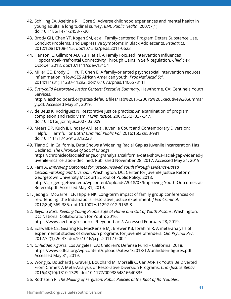- [42.](https://www.zotero.org/google-docs/?o4H8ki) Schilling EA, Aseltine RH, Gore S. Adverse childhood [experiences](https://www.zotero.org/google-docs/?o4H8ki) and mental health in young adults: a [longitudinal](https://www.zotero.org/google-docs/?o4H8ki) survey. *BMC Public [Health](https://www.zotero.org/google-docs/?o4H8ki)*. [2007;7\(1\).](https://www.zotero.org/google-docs/?o4H8ki) [doi:10.1186/1471-2458-7-30](https://www.zotero.org/google-docs/?o4H8ki)
- [43.](https://www.zotero.org/google-docs/?o4H8ki) Brody GH, Chen YF, Kogan SM, et al. [Family-centered](https://www.zotero.org/google-docs/?o4H8ki) Program Deters Substance Use, Conduct Problems, and Depressive Symptoms in Black [Adolescents.](https://www.zotero.org/google-docs/?o4H8ki) *[Pediatrics](https://www.zotero.org/google-docs/?o4H8ki)*[.](https://www.zotero.org/google-docs/?o4H8ki) 2012;129(1):108-115. [doi:10.1542/peds.2011-0623](https://www.zotero.org/google-docs/?o4H8ki)
- [44.](https://www.zotero.org/google-docs/?o4H8ki) Hanson JL, Gillmore AD, Yu T, et al. A Family Focused [Intervention](https://www.zotero.org/google-docs/?o4H8ki) Influences [Hippocampal-Prefrontal](https://www.zotero.org/google-docs/?o4H8ki) Connectivity Through Gains in Self-Regulation. *[Child](https://www.zotero.org/google-docs/?o4H8ki) Dev*[.](https://www.zotero.org/google-docs/?o4H8ki) October 2018. [doi:10.1111/cdev.13154](https://www.zotero.org/google-docs/?o4H8ki)
- [45.](https://www.zotero.org/google-docs/?o4H8ki) Miller GE, Brody GH, Yu T, Chen E. A [family-oriented](https://www.zotero.org/google-docs/?o4H8ki) psychosocial intervention reduces [inflammation](https://www.zotero.org/google-docs/?o4H8ki) in low-SES African American youth. *Proc Natl [Acad](https://www.zotero.org/google-docs/?o4H8ki) Sci*[.](https://www.zotero.org/google-docs/?o4H8ki) 2014;111(31):11287-11292. [doi:10.1073/pnas.1406578111](https://www.zotero.org/google-docs/?o4H8ki)
- [46.](https://www.zotero.org/google-docs/?o4H8ki) *Everychild [Restorative](https://www.zotero.org/google-docs/?o4H8ki) Justice Centers: Executive Summary*. [Hawthorne,](https://www.zotero.org/google-docs/?o4H8ki) CA: Centinela Youth [Services.](https://www.zotero.org/google-docs/?o4H8ki) [http://laschoolboard.org/sites/default/files/Tab%201.%20CYS%20Executive%20Summar](http://laschoolboard.org/sites/default/files/Tab%201.%20CYS%20Executive%20Summary.pdf) [y.pdf](http://laschoolboard.org/sites/default/files/Tab%201.%20CYS%20Executive%20Summary.pdf)[.](https://www.zotero.org/google-docs/?o4H8ki) [Accessed](https://www.zotero.org/google-docs/?o4H8ki) May 31, 2019.
- [47.](https://www.zotero.org/google-docs/?o4H8ki) de Beus K, Rodriguez N. Restorative justice practice: An [examination](https://www.zotero.org/google-docs/?o4H8ki) of program [completion](https://www.zotero.org/google-docs/?o4H8ki) and recidivism. *J Crim [Justice](https://www.zotero.org/google-docs/?o4H8ki)*. [2007;35\(3\):337-347.](https://www.zotero.org/google-docs/?o4H8ki) [doi:10.1016/j.jcrimjus.2007.03.009](https://www.zotero.org/google-docs/?o4H8ki)
- [48.](https://www.zotero.org/google-docs/?o4H8ki) Mears DP, Kuch JJ, Lindsey AM, et al. Juvenile Court and [Contemporary](https://www.zotero.org/google-docs/?o4H8ki) Diversion: Helpful, [Harmful,](https://www.zotero.org/google-docs/?o4H8ki) or Both? *[Criminol](https://www.zotero.org/google-docs/?o4H8ki) Public Pol*. [2016;15\(3\):953-981.](https://www.zotero.org/google-docs/?o4H8ki) [doi:10.1111/1745-9133.12223](https://www.zotero.org/google-docs/?o4H8ki)
- [49.](https://www.zotero.org/google-docs/?o4H8ki) Tiano S. In California, Data Shows a Widening Racial Gap as Juvenile [Incarceration](https://www.zotero.org/google-docs/?o4H8ki) Has [Declined.](https://www.zotero.org/google-docs/?o4H8ki) *The [Chronicle](https://www.zotero.org/google-docs/?o4H8ki) of Social Change*[.](https://www.zotero.org/google-docs/?o4H8ki) [https://chronicleofsocialchange.org/analysis/california-data-shows-racial-gap-widened-j](https://www.zotero.org/google-docs/?o4H8ki) [uvenile-incarceration-declined.](https://www.zotero.org/google-docs/?o4H8ki) Published November 28, 2017. [Accessed](https://www.zotero.org/google-docs/?o4H8ki) May 31, 2019.
- [50.](https://www.zotero.org/google-docs/?o4H8ki) [Farn](https://www.zotero.org/google-docs/?o4H8ki) A. *Improving Outcomes for Justice-Involved Youth through [Evidence-Based](https://www.zotero.org/google-docs/?o4H8ki) [Decision-Making](https://www.zotero.org/google-docs/?o4H8ki) and Diversion*. [Washington,](https://www.zotero.org/google-docs/?o4H8ki) DC: Center for Juvenile Justice Reform, [Georgetown](https://www.zotero.org/google-docs/?o4H8ki) University McCourt School of Public Policy; 2018. [http://cjjr.georgetown.edu/wpcontent/uploads/2018/07/Improving-Youth-Outcomes-at-](http://cjjr.georgetown.edu/wpcontent/uploads/2018/07/Improving-Youth-Outcomes-at-Referral.pdf)[Referral.pdf](http://cjjr.georgetown.edu/wpcontent/uploads/2018/07/Improving-Youth-Outcomes-at-Referral.pdf)[.](https://www.zotero.org/google-docs/?o4H8ki) [Accessed](https://www.zotero.org/google-docs/?o4H8ki) May 31, 2019.
- [51.](https://www.zotero.org/google-docs/?o4H8ki) Jeong S, McGarrell EF, Hipple NK. Long-term impact of family group [conferences](https://www.zotero.org/google-docs/?o4H8ki) on [re-offending:](https://www.zotero.org/google-docs/?o4H8ki) the Indianapolis restorative justice experiment. *J Exp [Criminol](https://www.zotero.org/google-docs/?o4H8ki)*[.](https://www.zotero.org/google-docs/?o4H8ki) 2012;8(4):369-385. [doi:10.1007/s11292-012-9158-8](https://www.zotero.org/google-docs/?o4H8ki)
- [52.](https://www.zotero.org/google-docs/?o4H8ki) *Beyond Bars: [Keeping](https://www.zotero.org/google-docs/?o4H8ki) Young People Safe at Home and Out of Youth Prisons*. [Washington,](https://www.zotero.org/google-docs/?o4H8ki) DC: National [Collaboration](https://www.zotero.org/google-docs/?o4H8ki) for Youth; 2016. <https://www.aecf.org/resources/beyond-bars/>[.](https://www.zotero.org/google-docs/?o4H8ki) [Accessed](https://www.zotero.org/google-docs/?o4H8ki) February 28, 2019.
- [53.](https://www.zotero.org/google-docs/?o4H8ki) Schwalbe CS, Gearing RE, MacKenzie MJ, Brewer KB, Ibrahim R. A [meta-analysis](https://www.zotero.org/google-docs/?o4H8ki) of [experimental](https://www.zotero.org/google-docs/?o4H8ki) studies of diversion programs for juvenile offenders. *Clin [Psychol](https://www.zotero.org/google-docs/?o4H8ki) Rev*[.](https://www.zotero.org/google-docs/?o4H8ki) 2012;32(1):26-33. [doi:10.1016/j.cpr.2011.10.002](https://www.zotero.org/google-docs/?o4H8ki)
- [54.](https://www.zotero.org/google-docs/?o4H8ki) *[Unhidden](https://www.zotero.org/google-docs/?o4H8ki) Figures*. Los Angeles, CA: Children's Defense Fund [California;](https://www.zotero.org/google-docs/?o4H8ki) 2018. https://www.cdfca.org/wp-content/uploads/sites/4/2018/12/unhidden-figures.pdf[.](https://www.zotero.org/google-docs/?o4H8ki) [Accessed](https://www.zotero.org/google-docs/?o4H8ki) May 31, 2019.
- [55.](https://www.zotero.org/google-docs/?o4H8ki) Wong JS, [Bouchard](https://www.zotero.org/google-docs/?o4H8ki) J, Gravel J, Bouchard M, Morselli C. Can At-Risk Youth Be Diverted From Crime?: A [Meta-Analysis](https://www.zotero.org/google-docs/?o4H8ki) of Restorative Diversion Programs. *Crim [Justice](https://www.zotero.org/google-docs/?o4H8ki) Behav*[.](https://www.zotero.org/google-docs/?o4H8ki) 2016;43(10):1310-1329. [doi:10.1177/0093854816640835](https://www.zotero.org/google-docs/?o4H8ki)
- [56.](https://www.zotero.org/google-docs/?o4H8ki) [Rothstein](https://www.zotero.org/google-docs/?o4H8ki) R. *The Making of [Ferguson:](https://www.zotero.org/google-docs/?o4H8ki) Public Policies at the Root of Its Troubles*[.](https://www.zotero.org/google-docs/?o4H8ki)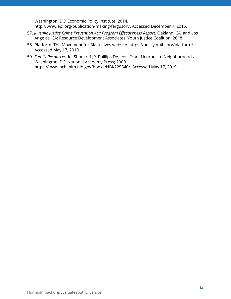[Washington,](https://www.zotero.org/google-docs/?o4H8ki) DC: Economic Policy Institute; 2014. [http://www.epi.org/publication/making-ferguson/.](https://www.zotero.org/google-docs/?o4H8ki) Accessed December 7, 2015.

- [57.](https://www.zotero.org/google-docs/?o4H8ki) *Juvenile Justice Crime Prevention Act: Program [Effectiveness](https://www.zotero.org/google-docs/?o4H8ki) Report*. [Oakland,](https://www.zotero.org/google-docs/?o4H8ki) CA, and Los Angeles, CA: Resource [Development](https://www.zotero.org/google-docs/?o4H8ki) Associates, Youth Justice Coalition; 2018.
- [58.](https://www.zotero.org/google-docs/?o4H8ki) Platform. The Movement for Black Lives website. [https://policy.m4bl.org/platform/.](https://www.zotero.org/google-docs/?o4H8ki) [Accessed](https://www.zotero.org/google-docs/?o4H8ki) May 17, 2019.
- [59.](https://www.zotero.org/google-docs/?o4H8ki) *Family [Resources](https://www.zotero.org/google-docs/?o4H8ki)*. In: Shonkoff JP, Phillips DA, eds. From Neurons to [Neighborhoods.](https://www.zotero.org/google-docs/?o4H8ki) [Washington,](https://www.zotero.org/google-docs/?o4H8ki) DC: National Academy Press; 2000. [https://www.ncbi.nlm.nih.gov/books/NBK225540/.](https://www.zotero.org/google-docs/?o4H8ki) Accessed May 17, 2019.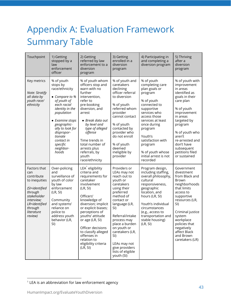## <span id="page-43-0"></span>Appendix A: Evaluation Framework Summary Table

| Touchpoint                                                                                                                                                        | 1) Getting<br>stopped by a<br>law<br>enforcement<br>officer                                                                                                                                                                                              | 2) Getting<br>referred by law<br>enforcement to a<br>diversion<br>program                                                                                                                                                                                                                                                                                  | 3) Getting<br>enrolled in a<br>diversion<br>program                                                                                                                                                                                                                                                                     | 4) Participating in<br>and completing a<br>diversion program                                                                                                                                                                                                                             | 5) Thriving<br>after a<br>diversion<br>program                                                                                                                                                                                                                              |
|-------------------------------------------------------------------------------------------------------------------------------------------------------------------|----------------------------------------------------------------------------------------------------------------------------------------------------------------------------------------------------------------------------------------------------------|------------------------------------------------------------------------------------------------------------------------------------------------------------------------------------------------------------------------------------------------------------------------------------------------------------------------------------------------------------|-------------------------------------------------------------------------------------------------------------------------------------------------------------------------------------------------------------------------------------------------------------------------------------------------------------------------|------------------------------------------------------------------------------------------------------------------------------------------------------------------------------------------------------------------------------------------------------------------------------------------|-----------------------------------------------------------------------------------------------------------------------------------------------------------------------------------------------------------------------------------------------------------------------------|
| Key metrics<br>Note: Stratify<br>all data by<br>youth race/<br>ethnicity                                                                                          | % of youth<br>stops by<br>race/ethnicity<br>• Compare to %<br>of youth of<br>each racial<br>identity in the<br>population<br>• Examine stops<br>geographic-<br>ally to look for<br>dispropor-<br>tionate<br>contact in<br>specific<br>neighbor-<br>hoods | % of youth whom<br>officers stop and<br>warn with no<br>further<br>intervention,<br>refer to<br>pre-booking<br>diversion, and<br>arrest<br>• Break data out<br>by level and<br>type of alleged<br>offense<br>Time trends in<br>total number of<br>arrests plus<br>referrals, by<br>youth<br>race/ethnicity                                                 | % of youth and<br>caretakers<br>declining<br>officer referral<br>to diversion<br>% of youth<br>referred whom<br>provider<br>cannot contact<br>% of youth<br>contacted by<br>provider who<br>do not enroll<br>% of youth<br>deemed<br>ineligible by<br>provider                                                          | % of youth<br>completing care<br>plan goals or<br>program<br>% of youth<br>connected to<br>supportive<br>services who<br>access those<br>services at least<br>once during<br>program<br>Youth's<br>satisfaction with<br>program<br>% of youth whose<br>initial arrest is not<br>recorded | % of youth with<br>improvement<br>in areas<br>identified as<br>goals in their<br>care plan<br>% of youth<br>improvement<br>in areas<br>targeted by<br>program<br>% of youth who<br>aren't<br>re-arrested and<br>don't have<br>subsequent<br>petitions filed<br>or sustained |
| Factors that<br>can<br>contribute<br>to inequities<br>(SI=identified<br>through<br>stakeholder<br>interview;<br>LR=identified<br>through<br>literature<br>review) | Over-policing<br>and<br>surveillance of<br>youth of color<br>by law<br>enforcement<br>(LR, SI)<br>Community<br>and systems'<br>reliance on<br>police to<br>address youth<br>behavior (LR,<br>SI)                                                         | LEA <sup>'</sup> eligibility<br>criteria and<br>requirements for<br>caretaker<br>involvement<br>(LR, SI)<br>Officers'<br>knowledge of<br>diversion; implicit<br>or explicit biases;<br>perceptions of<br>youths' attitude<br>or age (LR, SI)<br>Officer decisions<br>to classify alleged<br>offenses in<br>relation to<br>eligibility criteria<br>(LR, SI) | Providers or<br>LEAs may not<br>reach out to<br>youth or<br>caretakers<br>using their<br>preferred<br>method of<br>contact or<br>language (LR,<br>SI)<br>Referral/intake<br>process may<br>place a burden<br>on youth or<br>caretakers (LR,<br>SI)<br>LEAs may not<br>give providers<br>lists of eligible<br>youth (SI) | Program design,<br>including staffing,<br>overall philosophy,<br>cultural<br>responsiveness,<br>geographic<br>location, and<br>hours (LR, SI)<br>Youth's individual<br>circumstances<br>(e.g., access to<br>transportation and<br>stable housing)<br>(LR, SI)                            | Government<br>divestment<br>from Black and<br><b>Brown</b><br>neighborhoods<br>that limits<br>access to<br>supportive<br>resources (LR,<br>SI)<br>Criminal justice<br>system<br>workplace<br>policies that<br>negatively<br>affect Black<br>and Brown<br>caretakers (LR)    |

<sup>&</sup>lt;sup>1</sup> LEA is an abbreviation for law enforcement agency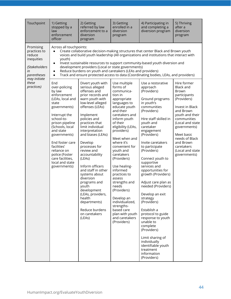| Touchpoint                                                                                                                     | 1) Getting<br>stopped by a<br>law<br>enforcement<br>officer                                                                                                                                                                                                                                                                                                                                                     | 2) Getting<br>referred by law<br>enforcement to a<br>diversion<br>program                                                                                                                                                                                                                                                                                                                                                                                                                                                                                                                                                                            | 3) Getting<br>enrolled in a<br>diversion<br>program                                                                                                                                                                                                                                                                                                                                                                                                                                                         | 4) Participating in<br>and completing a<br>diversion program                                                                                                                                                                                                                                                                                                                                                                                                                                                                                                                                                                                                                                                                                                                                                                                                                                                                                                                                            | 5) Thriving<br>after a<br>diversion<br>program                                                                                                                                                                                                                               |
|--------------------------------------------------------------------------------------------------------------------------------|-----------------------------------------------------------------------------------------------------------------------------------------------------------------------------------------------------------------------------------------------------------------------------------------------------------------------------------------------------------------------------------------------------------------|------------------------------------------------------------------------------------------------------------------------------------------------------------------------------------------------------------------------------------------------------------------------------------------------------------------------------------------------------------------------------------------------------------------------------------------------------------------------------------------------------------------------------------------------------------------------------------------------------------------------------------------------------|-------------------------------------------------------------------------------------------------------------------------------------------------------------------------------------------------------------------------------------------------------------------------------------------------------------------------------------------------------------------------------------------------------------------------------------------------------------------------------------------------------------|---------------------------------------------------------------------------------------------------------------------------------------------------------------------------------------------------------------------------------------------------------------------------------------------------------------------------------------------------------------------------------------------------------------------------------------------------------------------------------------------------------------------------------------------------------------------------------------------------------------------------------------------------------------------------------------------------------------------------------------------------------------------------------------------------------------------------------------------------------------------------------------------------------------------------------------------------------------------------------------------------------|------------------------------------------------------------------------------------------------------------------------------------------------------------------------------------------------------------------------------------------------------------------------------|
| Promising<br>practices to<br>reduce<br>inequities<br>(Stakeholders<br>in<br>parentheses<br>may initiate<br>these<br>practices) | Across all touchpoints:<br>$\bullet$<br>youth)<br>$\bullet$<br>$\bullet$<br>$\bullet$<br>End<br>over-policing<br>by law<br>enforcement<br>(LEAs, local and<br>state<br>governments)<br>Interrupt the<br>school-to-<br>prison pipeline<br>(Schools, local<br>and state<br>governments)<br>End foster care<br>facilities'<br>reliance on<br>police (Foster<br>care facilities,<br>local and state<br>governments) | development providers (Local or state governments)<br>Reduce burdens on youth and caretakers (LEAs and providers)<br>Divert youth with<br>serious alleged<br>offenses and<br>prior records and<br>warn youth with<br>low-level alleged<br>offenses (LEAs)<br>Implement<br>policies and<br>practices that<br>limit individual<br>interpretation<br>and biases (LEAs)<br>Develop<br>processes for<br>review and<br>accountability<br>(LEAs)<br>Inform officers<br>and staff in other<br>systems about<br>diversion<br>programs and<br>youth<br>development<br>(LEAs, providers,<br>health<br>departments)<br>Reduce burdens<br>on caretakers<br>(LEAs) | Use multiple<br>forms of<br>communica-<br>tion in<br>appropriate<br>languages to<br>educate youth<br>and their<br>caretakers and<br>inform youth<br>of their<br>eligibility (LEAs,<br>providers)<br>Meet when and<br>where it's<br>convenient for<br>youth and<br>caretakers<br>(Providers)<br>Use healing-<br>informed<br>practices to<br>assess<br>strengths and<br>needs<br>(Providers)<br>Develop an<br>individualized,<br>strengths-<br>based care<br>plan with youth<br>and caretakers<br>(Providers) | Create collaborative decision-making structures that center Black and Brown youth<br>voices and build youth leadership (All organizations and institutions that interact with<br>Invest sustainable resources to support community-based youth diversion and<br>Track and ensure protected access to data (Coordinating bodies, LEAs, and providers)<br>Use a restorative<br>approach<br>(Providers)<br>Ground programs<br>in youth's<br>communities<br>(Providers)<br>Hire staff skilled in<br>youth and<br>caretaker<br>engagement<br>(Providers)<br>Invite caretakers<br>to participate<br>(Providers)<br>Connect youth to<br>supportive<br>services and<br>opportunities for<br>growth (Providers)<br>Adjust care plan as<br>needed (Providers)<br>Develop an exit<br>strategy<br>(Providers)<br>Establish a<br>protocol to guide<br>response to youth<br>unable to<br>complete<br>(Providers)<br>Limit sharing of<br>individually<br>identifiable youth<br>treatment<br>information<br>(Providers) | Hire former<br>Black and<br><b>Brown</b><br>participants<br>(Providers)<br>Invest in Black<br>and Brown<br>youth and their<br>communities<br>(Local and state<br>governments)<br>Meet basic<br>needs of Black<br>and Brown<br>caretakers<br>(Local and state<br>governments) |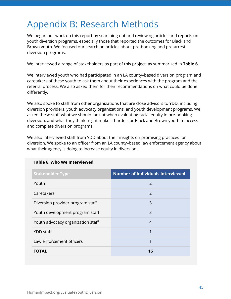## <span id="page-45-0"></span>Appendix B: Research Methods

We began our work on this report by searching out and reviewing articles and reports on youth diversion programs, especially those that reported the outcomes for Black and Brown youth. We focused our search on articles about pre-booking and pre-arrest diversion programs.

We interviewed a range of stakeholders as part of this project, as summarized in **Table 6**.

We interviewed youth who had participated in an LA county–based diversion program and caretakers of these youth to ask them about their experiences with the program and the referral process. We also asked them for their recommendations on what could be done differently.

We also spoke to staff from other organizations that are close advisors to YDD, including diversion providers, youth advocacy organizations, and youth development programs. We asked these staff what we should look at when evaluating racial equity in pre-booking diversion, and what they think might make it harder for Black and Brown youth to access and complete diversion programs.

We also interviewed staff from YDD about their insights on promising practices for diversion. We spoke to an officer from an LA county–based law enforcement agency about what their agency is doing to increase equity in diversion.

| <b>Stakeholder Type</b>           | <b>Number of Individuals Interviewed</b> |
|-----------------------------------|------------------------------------------|
| Youth                             | $\mathcal{P}$                            |
| Caretakers                        | $\mathcal{P}$                            |
| Diversion provider program staff  | 3                                        |
| Youth development program staff   | 3                                        |
| Youth advocacy organization staff | 4                                        |
| <b>YDD</b> staff                  | 1                                        |
| Law enforcement officers          | 1                                        |
| TOTAL                             | 16                                       |

#### **Table 6. Who We Interviewed**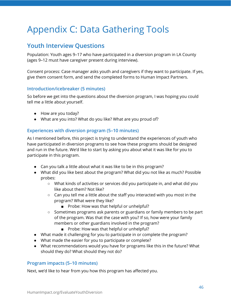## <span id="page-46-0"></span>Appendix C: Data Gathering Tools

## **Youth Interview Questions**

Population: Youth ages 9–17 who have participated in a diversion program in LA County (ages 9–12 must have caregiver present during interview).

Consent process: Case manager asks youth and caregivers if they want to participate. If yes, give them consent form, and send the completed forms to Human Impact Partners.

#### **Introduction/icebreaker (5 minutes)**

So before we get into the questions about the diversion program, I was hoping you could tell me a little about yourself.

- How are you today?
- What are you into? What do you like? What are you proud of?

#### **Experiences with diversion program (5–10 minutes)**

As I mentioned before, this project is trying to understand the experiences of youth who have participated in diversion programs to see how these programs should be designed and run in the future. We'd like to start by asking you about what it was like for you to participate in this program.

- Can you talk a little about what it was like to be in this program?
- What did you like best about the program? What did you not like as much? Possible probes:
	- What kinds of activities or services did you participate in, and what did you like about them? Not like?
	- Can you tell me a little about the staff you interacted with you most in the program? What were they like?
		- Probe: How was that helpful or unhelpful?
	- Sometimes programs ask parents or guardians or family members to be part of the program. Was that the case with you? If so, how were your family members or other guardians involved in the program?
		- Probe: How was that helpful or unhelpful?
- What made it challenging for you to participate in or complete the program?
- What made the easier for you to participate or complete?
- What recommendations would you have for programs like this in the future? What should they do? What should they not do?

#### **Program impacts (5–10 minutes)**

Next, we'd like to hear from you how this program has affected you.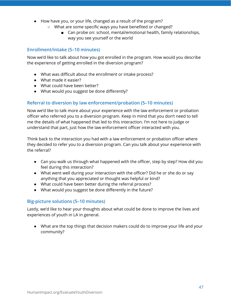- How have you, or your life, changed as a result of the program?
	- What are some specific ways you have benefited or changed?
		- Can probe on: school, mental/emotional health, family relationships, way you see yourself or the world

#### **Enrollment/intake (5–10 minutes)**

Now we'd like to talk about how you got enrolled in the program. How would you describe the experience of getting enrolled in the diversion program?

- What was difficult about the enrollment or intake process?
- What made it easier?
- What could have been better?
- What would you suggest be done differently?

#### **Referral to diversion by law enforcement/probation (5–10 minutes)**

Now we'd like to talk more about your experience with the law enforcement or probation officer who referred you to a diversion program. Keep in mind that you don't need to tell me the details of what happened that led to this interaction. I'm not here to judge or understand that part, just how the law enforcement officer interacted with you.

Think back to the interaction you had with a law enforcement or probation officer where they decided to refer you to a diversion program. Can you talk about your experience with the referral?

- Can you walk us through what happened with the officer, step by step? How did you feel during this interaction?
- What went well during your interaction with the officer? Did he or she do or say anything that you appreciated or thought was helpful or kind?
- What could have been better during the referral process?
- What would you suggest be done differently in the future?

#### **Big-picture solutions (5–10 minutes)**

Lastly, we'd like to hear your thoughts about what could be done to improve the lives and experiences of youth in LA in general.

● What are the top things that decision makers could do to improve your life and your community?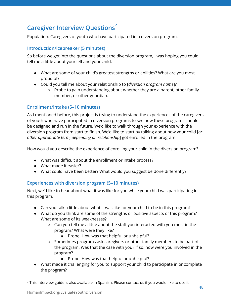## **Caregiver Interview Questions 2**

Population: Caregivers of youth who have participated in a diversion program.

#### **Introduction/icebreaker (5 minutes)**

So before we get into the questions about the diversion program, I was hoping you could tell me a little about yourself and your child.

- What are some of your child's greatest strengths or abilities? What are you most proud of?
- Could you tell me about your relationship to [*diversion program name*]?
	- Probe to gain understanding about whether they are a parent, other family member, or other guardian.

#### **Enrollment/intake (5–10 minutes)**

As I mentioned before, this project is trying to understand the experiences of the caregivers of youth who have participated in diversion programs to see how these programs should be designed and run in the future. We'd like to walk through your experience with the diversion program from start to finish. We'd like to start by talking about how your child [*or other appropriate term, depending on relationship*] got enrolled in the program.

How would you describe the experience of enrolling your child in the diversion program?

- What was difficult about the enrollment or intake process?
- What made it easier?
- What could have been better? What would you suggest be done differently?

#### **Experiences with diversion program (5–10 minutes)**

Next, we'd like to hear about what it was like for you while your child was participating in this program.

- Can you talk a little about what it was like for your child to be in this program?
- What do you think are some of the strengths or positive aspects of this program? What are some of its weaknesses?
	- $\circ$  Can you tell me a little about the staff you interacted with you most in the program? What were they like?
		- Probe: How was that helpful or unhelpful?
	- Sometimes programs ask caregivers or other family members to be part of the program. Was that the case with you? If so, how were you involved in the program?
		- Probe: How was that helpful or unhelpful?
- What made it challenging for you to support your child to participate in or complete the program?

 $2$  This interview guide is also available in Spanish. Please contact us if you would like to use it.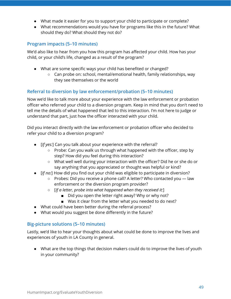- What made it easier for you to support your child to participate or complete?
- What recommendations would you have for programs like this in the future? What should they do? What should they not do?

#### **Program impacts (5–10 minutes)**

We'd also like to hear from you how this program has affected your child. How has your child, or your child's life, changed as a result of the program?

- What are some specific ways your child has benefited or changed?
	- Can probe on: school, mental/emotional health, family relationships, way they see themselves or the world

#### **Referral to diversion by law enforcement/probation (5–10 minutes)**

Now we'd like to talk more about your experience with the law enforcement or probation officer who referred your child to a diversion program. Keep in mind that you don't need to tell me the details of what happened that led to this interaction. I'm not here to judge or understand that part, just how the officer interacted with your child.

Did you interact directly with the law enforcement or probation officer who decided to refer your child to a diversion program?

- [*If yes:*] Can you talk about your experience with the referral?
	- $\circ$  Probe: Can you walk us through what happened with the officer, step by step? How did you feel during this interaction?
	- What well well during your interaction with the officer? Did he or she do or say anything that you appreciated or thought was helpful or kind?
- [*If no:*] How did you find out your child was eligible to participate in diversion?
	- Probes: Did you receive a phone call? A letter? Who contacted you law enforcement or the diversion program provider?
	- [*If a letter, probe into what happened when they received it:*]
		- Did you open the letter right away? Why or why not?
		- Was it clear from the letter what you needed to do next?
- What could have been better during the referral process?
- What would you suggest be done differently in the future?

#### **Big-picture solutions (5–10 minutes)**

Lastly, we'd like to hear your thoughts about what could be done to improve the lives and experiences of youth in LA County in general.

● What are the top things that decision makers could do to improve the lives of youth in your community?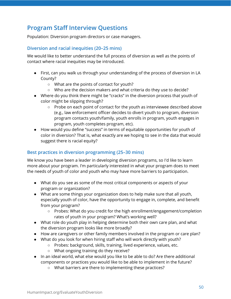## **Program Staff Interview Questions**

Population: Diversion program directors or case managers.

#### **Diversion and racial inequities (20–25 mins)**

We would like to better understand the full process of diversion as well as the points of contact where racial inequities may be introduced.

- First, can you walk us through your understanding of the process of diversion in LA County?
	- What are the points of contact for youth?
	- Who are the decision makers and what criteria do they use to decide?
- Where do you think there might be "cracks" in the diversion process that youth of color might be slipping through?
	- Probe on each point of contact for the youth as interviewee described above (e.g., law enforcement officer decides to divert youth to program, diversion program contacts youth/family, youth enrolls in program, youth engages in program, youth completes program, etc).
- How would you define "success" in terms of equitable opportunities for youth of color in diversion? That is, what exactly are we hoping to see in the data that would suggest there is racial equity?

#### **Best practices in diversion programming (25–30 mins)**

We know you have been a leader in developing diversion programs, so I'd like to learn more about your program. I'm particularly interested in what your program does to meet the needs of youth of color and youth who may have more barriers to participation.

- What do you see as some of the most critical components or aspects of your program or organization?
- What are some things your organization does to help make sure that all youth, especially youth of color, have the opportunity to engage in, complete, and benefit from your program?
	- Probes: What do you credit for the high enrollment/engagement/completion rates of youth in your program? What's working well?
- What role do youth play in helping determine both their own care plan, and what the diversion program looks like more broadly?
- How are caregivers or other family members involved in the program or care plan?
- What do you look for when hiring staff who will work directly with youth?
	- Probes: background, skills, training, lived experience, values, etc.
	- What ongoing training do they receive?
- In an ideal world, what else would you like to be able to do? Are there additional components or practices you would like to be able to implement in the future?
	- What barriers are there to implementing these practices?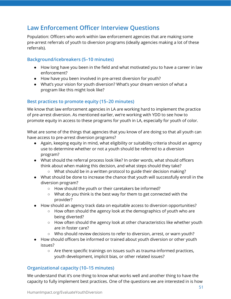## **Law Enforcement Officer Interview Questions**

Population: Officers who work within law enforcement agencies that are making some pre-arrest referrals of youth to diversion programs (ideally agencies making a lot of these referrals).

#### **Background/icebreakers (5–10 minutes)**

- How long have you been in the field and what motivated you to have a career in law enforcement?
- How have you been involved in pre-arrest diversion for youth?
- What's your vision for youth diversion? What's your dream version of what a program like this might look like?

#### **Best practices to promote equity (15–20 minutes)**

We know that law enforcement agencies in LA are working hard to implement the practice of pre-arrest diversion. As mentioned earlier, we're working with YDD to see how to promote equity in access to these programs for youth in LA, especially for youth of color.

What are some of the things that agencies that you know of are doing so that all youth can have access to pre-arrest diversion programs?

- Again, keeping equity in mind, what eligibility or suitability criteria should an agency use to determine whether or not a youth should be referred to a diversion program?
- What should the referral process look like? In order words, what should officers think about when making this decision, and what steps should they take?
	- What should be in a written protocol to guide their decision making?
- What should be done to increase the chance that youth will successfully enroll in the diversion program?
	- How should the youth or their caretakers be informed?
	- What do you think is the best way for them to get connected with the provider?
- How should an agency track data on equitable access to diversion opportunities?
	- How often should the agency look at the demographics of youth who are being diverted?
	- How often should the agency look at other characteristics like whether youth are in foster care?
	- Who should review decisions to refer to diversion, arrest, or warn youth?
- How should officers be informed or trained about youth diversion or other youth issues?
	- Are there specific trainings on issues such as trauma-informed practices, youth development, implicit bias, or other related issues?

#### **Organizational capacity (10–15 minutes)**

We understand that it's one thing to know what works well and another thing to have the capacity to fully implement best practices. One of the questions we are interested in is how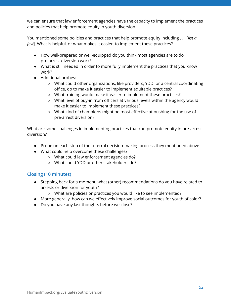we can ensure that law enforcement agencies have the capacity to implement the practices and policies that help promote equity in youth diversion.

You mentioned some policies and practices that help promote equity including . . . [*list a few*]. What is helpful, or what makes it easier, to implement these practices?

- How well-prepared or well-equipped do you think most agencies are to do pre-arrest diversion work?
- What is still needed in order to more fully implement the practices that you know work?
- Additional probes:
	- What could other organizations, like providers, YDD, or a central coordinating office, do to make it easier to implement equitable practices?
	- What training would make it easier to implement these practices?
	- What level of buy-in from officers at various levels within the agency would make it easier to implement these practices?
	- What kind of champions might be most effective at pushing for the use of pre-arrest diversion?

What are some challenges in implementing practices that can promote equity in pre-arrest diversion?

- Probe on each step of the referral decision-making process they mentioned above
- What could help overcome these challenges?
	- What could law enforcement agencies do?
	- What could YDD or other stakeholders do?

#### **Closing (10 minutes)**

- Stepping back for a moment, what (other) recommendations do you have related to arrests or diversion for youth?
	- What are policies or practices you would like to see implemented?
- More generally, how can we effectively improve social outcomes for youth of color?
- Do you have any last thoughts before we close?